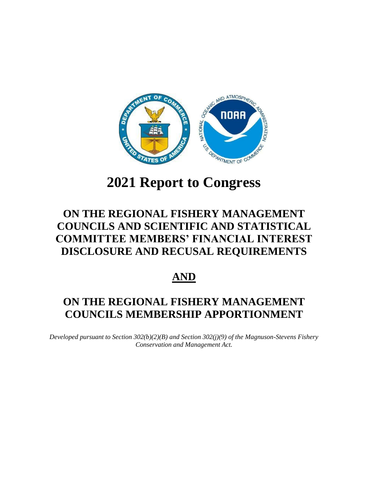

# **2021 Report to Congress**

## **ON THE REGIONAL FISHERY MANAGEMENT COUNCILS AND SCIENTIFIC AND STATISTICAL COMMITTEE MEMBERS' FINANCIAL INTEREST DISCLOSURE AND RECUSAL REQUIREMENTS**

## **AND**

## **ON THE REGIONAL FISHERY MANAGEMENT COUNCILS MEMBERSHIP APPORTIONMENT**

*Developed pursuant to Section 302(b)(2)(B) and Section 302(j)(9) of the Magnuson-Stevens Fishery Conservation and Management Act.*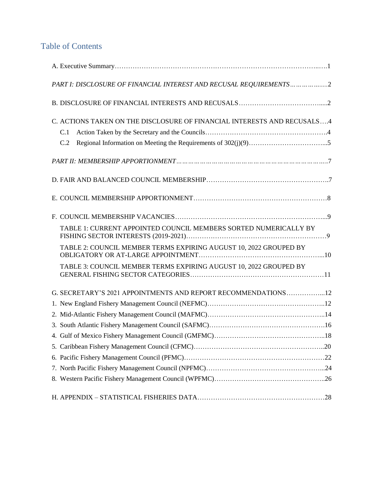## Table of Contents

| PART I: DISCLOSURE OF FINANCIAL INTEREST AND RECUSAL REQUIREMENTS2      |
|-------------------------------------------------------------------------|
|                                                                         |
| C. ACTIONS TAKEN ON THE DISCLOSURE OF FINANCIAL INTERESTS AND RECUSALS4 |
| C.1                                                                     |
| C.2                                                                     |
|                                                                         |
|                                                                         |
|                                                                         |
|                                                                         |
| TABLE 1: CURRENT APPOINTED COUNCIL MEMBERS SORTED NUMERICALLY BY        |
| TABLE 2: COUNCIL MEMBER TERMS EXPIRING AUGUST 10, 2022 GROUPED BY       |
| TABLE 3: COUNCIL MEMBER TERMS EXPIRING AUGUST 10, 2022 GROUPED BY       |
| G. SECRETARY'S 2021 APPOINTMENTS AND REPORT RECOMMENDATIONS12           |
|                                                                         |
|                                                                         |
|                                                                         |
|                                                                         |
|                                                                         |
|                                                                         |
|                                                                         |
|                                                                         |
|                                                                         |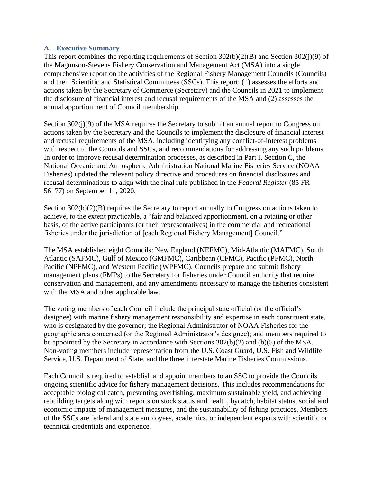#### **A. Executive Summary**

This report combines the reporting requirements of Section 302(b)(2)(B) and Section 302(j)(9) of the Magnuson-Stevens Fishery Conservation and Management Act (MSA) into a single comprehensive report on the activities of the Regional Fishery Management Councils (Councils) and their Scientific and Statistical Committees (SSCs). This report: (1) assesses the efforts and actions taken by the Secretary of Commerce (Secretary) and the Councils in 2021 to implement the disclosure of financial interest and recusal requirements of the MSA and (2) assesses the annual apportionment of Council membership.

Section 302(j)(9) of the MSA requires the Secretary to submit an annual report to Congress on actions taken by the Secretary and the Councils to implement the disclosure of financial interest and recusal requirements of the MSA, including identifying any conflict-of-interest problems with respect to the Councils and SSCs, and recommendations for addressing any such problems. In order to improve recusal determination processes, as described in Part I, Section C, the National Oceanic and Atmospheric Administration National Marine Fisheries Service (NOAA Fisheries) updated the relevant policy directive and procedures on financial disclosures and recusal determinations to align with the final rule published in the *Federal Register* (85 FR 56177) on September 11, 2020.

Section 302(b)(2)(B) requires the Secretary to report annually to Congress on actions taken to achieve, to the extent practicable, a "fair and balanced apportionment, on a rotating or other basis, of the active participants (or their representatives) in the commercial and recreational fisheries under the jurisdiction of [each Regional Fishery Management] Council."

The MSA established eight Councils: New England (NEFMC), Mid-Atlantic (MAFMC), South Atlantic (SAFMC), Gulf of Mexico (GMFMC), Caribbean (CFMC), Pacific (PFMC), North Pacific (NPFMC), and Western Pacific (WPFMC). Councils prepare and submit fishery management plans (FMPs) to the Secretary for fisheries under Council authority that require conservation and management, and any amendments necessary to manage the fisheries consistent with the MSA and other applicable law.

The voting members of each Council include the principal state official (or the official's designee) with marine fishery management responsibility and expertise in each constituent state, who is designated by the governor; the Regional Administrator of NOAA Fisheries for the geographic area concerned (or the Regional Administrator's designee); and members required to be appointed by the Secretary in accordance with Sections 302(b)(2) and (b)(5) of the MSA. Non-voting members include representation from the U.S. Coast Guard, U.S. Fish and Wildlife Service, U.S. Department of State, and the three interstate Marine Fisheries Commissions.

Each Council is required to establish and appoint members to an SSC to provide the Councils ongoing scientific advice for fishery management decisions. This includes recommendations for acceptable biological catch, preventing overfishing, maximum sustainable yield, and achieving rebuilding targets along with reports on stock status and health, bycatch, habitat status, social and economic impacts of management measures, and the sustainability of fishing practices. Members of the SSCs are federal and state employees, academics, or independent experts with scientific or technical credentials and experience.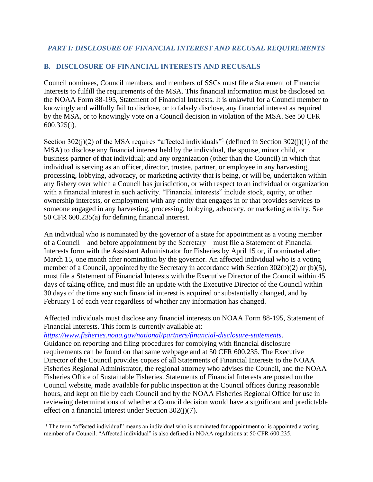### **B. DISCLOSURE OF FINANCIAL INTERESTS AND RECUSALS**

Council nominees, Council members, and members of SSCs must file a Statement of Financial Interests to fulfill the requirements of the MSA. This financial information must be disclosed on the NOAA Form 88-195, Statement of Financial Interests. It is unlawful for a Council member to knowingly and willfully fail to disclose, or to falsely disclose, any financial interest as required by the MSA, or to knowingly vote on a Council decision in violation of the MSA. See 50 CFR 600.325(i).

Section 302(j)(2) of the MSA requires "affected individuals"<sup>1</sup> (defined in Section 302(j)(1) of the MSA) to disclose any financial interest held by the individual, the spouse, minor child, or business partner of that individual; and any organization (other than the Council) in which that individual is serving as an officer, director, trustee, partner, or employee in any harvesting, processing, lobbying, advocacy, or marketing activity that is being, or will be, undertaken within any fishery over which a Council has jurisdiction, or with respect to an individual or organization with a financial interest in such activity. "Financial interests" include stock, equity, or other ownership interests, or employment with any entity that engages in or that provides services to someone engaged in any harvesting, processing, lobbying, advocacy, or marketing activity. See 50 CFR 600.235(a) for defining financial interest.

An individual who is nominated by the governor of a state for appointment as a voting member of a Council—and before appointment by the Secretary—must file a Statement of Financial Interests form with the Assistant Administrator for Fisheries by April 15 or, if nominated after March 15, one month after nomination by the governor. An affected individual who is a voting member of a Council, appointed by the Secretary in accordance with Section 302(b)(2) or (b)(5), must file a Statement of Financial Interests with the Executive Director of the Council within 45 days of taking office, and must file an update with the Executive Director of the Council within 30 days of the time any such financial interest is acquired or substantially changed, and by February 1 of each year regardless of whether any information has changed.

Affected individuals must disclose any financial interests on NOAA Form 88-195, Statement of Financial Interests. This form is currently available at[:](https://www.fisheries.noaa.gov/national/partners/financial-disclosure-statements)

*<https://www.fisheries.noaa.gov/national/partners/financial-disclosure-statements>*.

\_\_\_\_\_\_\_\_\_\_\_\_\_\_\_\_\_\_\_\_\_\_\_

Guidance on reporting and filing procedures for complying with financial disclosure requirements can be found on that same webpage and at 50 CFR 600.235. The Executive Director of the Council provides copies of all Statements of Financial Interests to the NOAA Fisheries Regional Administrator, the regional attorney who advises the Council, and the NOAA Fisheries Office of Sustainable Fisheries. Statements of Financial Interests are posted on the Council website, made available for public inspection at the Council offices during reasonable hours, and kept on file by each Council and by the NOAA Fisheries Regional Office for use in reviewing determinations of whether a Council decision would have a significant and predictable effect on a financial interest under Section 302(j)(7).

 $1$  The term "affected individual" means an individual who is nominated for appointment or is appointed a voting member of a Council. "Affected individual" is also defined in NOAA regulations at 50 CFR 600.235.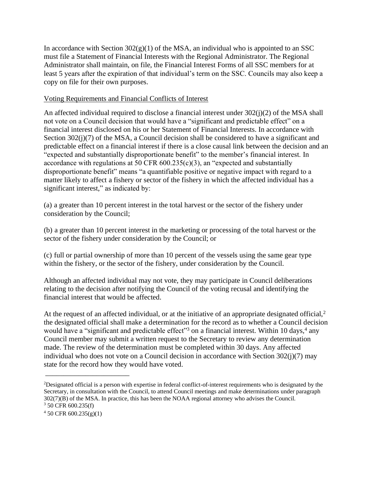In accordance with Section  $302(g)(1)$  of the MSA, an individual who is appointed to an SSC must file a Statement of Financial Interests with the Regional Administrator. The Regional Administrator shall maintain, on file, the Financial Interest Forms of all SSC members for at least 5 years after the expiration of that individual's term on the SSC. Councils may also keep a copy on file for their own purposes.

#### Voting Requirements and Financial Conflicts of Interest

An affected individual required to disclose a financial interest under 302(j)(2) of the MSA shall not vote on a Council decision that would have a "significant and predictable effect" on a financial interest disclosed on his or her Statement of Financial Interests. In accordance with Section 302(j)(7) of the MSA, a Council decision shall be considered to have a significant and predictable effect on a financial interest if there is a close causal link between the decision and an "expected and substantially disproportionate benefit" to the member's financial interest. In accordance with regulations at 50 CFR 600.235(c)(3), an "expected and substantially disproportionate benefit" means "a quantifiable positive or negative impact with regard to a matter likely to affect a fishery or sector of the fishery in which the affected individual has a significant interest," as indicated by:

(a) a greater than 10 percent interest in the total harvest or the sector of the fishery under consideration by the Council;

(b) a greater than 10 percent interest in the marketing or processing of the total harvest or the sector of the fishery under consideration by the Council; or

(c) full or partial ownership of more than 10 percent of the vessels using the same gear type within the fishery, or the sector of the fishery, under consideration by the Council.

Although an affected individual may not vote, they may participate in Council deliberations relating to the decision after notifying the Council of the voting recusal and identifying the financial interest that would be affected.

At the request of an affected individual, or at the initiative of an appropriate designated official, $2$ the designated official shall make a determination for the record as to whether a Council decision would have a "significant and predictable effect"<sup>3</sup> on a financial interest. Within 10 days,<sup>4</sup> any Council member may submit a written request to the Secretary to review any determination made. The review of the determination must be completed within 30 days. Any affected individual who does not vote on a Council decision in accordance with Section 302(j)(7) may state for the record how they would have voted.

\_\_\_\_\_\_\_\_\_\_\_\_\_\_\_\_\_\_\_\_\_\_\_

<sup>&</sup>lt;sup>2</sup>Designated official is a person with expertise in federal conflict-of-interest requirements who is designated by the Secretary, in consultation with the Council, to attend Council meetings and make determinations under paragraph 302(7)(B) of the MSA. In practice, this has been the NOAA regional attorney who advises the Council. <sup>3</sup> 50 CFR 600.235(f)

 $4\,50$  CFR 600.235(g)(1)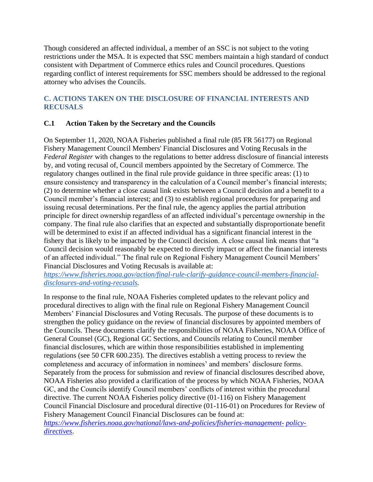Though considered an affected individual, a member of an SSC is not subject to the voting restrictions under the MSA. It is expected that SSC members maintain a high standard of conduct consistent with Department of Commerce ethics rules and Council procedures. Questions regarding conflict of interest requirements for SSC members should be addressed to the regional attorney who advises the Councils.

### **C. ACTIONS TAKEN ON THE DISCLOSURE OF FINANCIAL INTERESTS AND RECUSALS**

### **C.1 Action Taken by the Secretary and the Councils**

On September 11, 2020, NOAA Fisheries published a final rule (85 FR 56177) on Regional Fishery Management Council Members' Financial Disclosures and Voting Recusals in the *Federal Register* with changes to the regulations to better address disclosure of financial interests by, and voting recusal of, Council members appointed by the Secretary of Commerce. The regulatory changes outlined in the final rule provide guidance in three specific areas: (1) to ensure consistency and transparency in the calculation of a Council member's financial interests; (2) to determine whether a close causal link exists between a Council decision and a benefit to a Council member's financial interest; and (3) to establish regional procedures for preparing and issuing recusal determinations. Per the final rule, the agency applies the partial attribution principle for direct ownership regardless of an affected individual's percentage ownership in the company. The final rule also clarifies that an expected and substantially disproportionate benefit will be determined to exist if an affected individual has a significant financial interest in the fishery that is likely to be impacted by the Council decision. A close causal link means that "a Council decision would reasonably be expected to directly impact or affect the financial interests of an affected individual." The final rule on Regional Fishery Management Council Members' Financial Disclosures and Voting Recusals is available at:

*[https://www.fisheries.noaa.gov/action/final-rule-clarify-guidance-council-members-financial](https://www.fisheries.noaa.gov/action/final-rule-clarify-guidance-council-members-financial-disclosures-and-voting-recusals)[disclosures-and-voting-recusals.](https://www.fisheries.noaa.gov/action/final-rule-clarify-guidance-council-members-financial-disclosures-and-voting-recusals)*

In response to the final rule, NOAA Fisheries completed updates to the relevant policy and procedural directives to align with the final rule on Regional Fishery Management Council Members' Financial Disclosures and Voting Recusals. The purpose of these documents is to strengthen the policy guidance on the review of financial disclosures by appointed members of the Councils. These documents clarify the responsibilities of NOAA Fisheries, NOAA Office of General Counsel (GC), Regional GC Sections, and Councils relating to Council member financial disclosures, which are within those responsibilities established in implementing regulations (see 50 CFR 600.235). The directives establish a vetting process to review the completeness and accuracy of information in nominees' and members' disclosure forms. Separately from the process for submission and review of financial disclosures described above, NOAA Fisheries also provided a clarification of the process by which NOAA Fisheries, NOAA GC, and the Councils identify Council members' conflicts of interest within the procedural directive. The current NOAA Fisheries policy directive (01-116) on Fishery Management Council Financial Disclosure and procedural directive (01-116-01) on Procedures for Review of Fishery Management Council Financial Disclosures can be found at:

*[https://www.fisheries.noaa.gov/national/laws-and-policies/fisheries-management-](https://www.fisheries.noaa.gov/national/laws-and-policies/fisheries-management-policy-directives) [policy](https://www.fisheries.noaa.gov/national/laws-and-policies/fisheries-management-policy-directives)[directives](https://www.fisheries.noaa.gov/national/laws-and-policies/fisheries-management-policy-directives)*.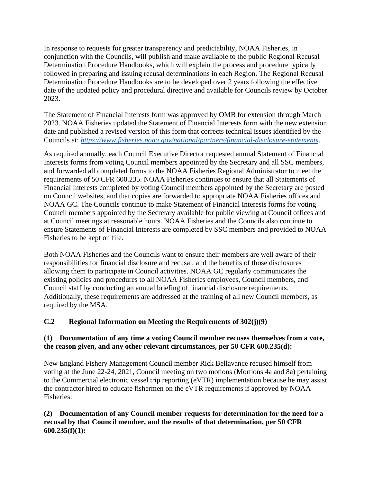In response to requests for greater transparency and predictability, NOAA Fisheries, in conjunction with the Councils, will publish and make available to the public Regional Recusal Determination Procedure Handbooks, which will explain the process and procedure typically followed in preparing and issuing recusal determinations in each Region. The Regional Recusal Determination Procedure Handbooks are to be developed over 2 years following the effective date of the updated policy and procedural directive and available for Councils review by October 2023.

The Statement of Financial Interests form was approved by OMB for extension through March 2023. NOAA Fisheries updated the Statement of Financial Interests form with the new extension date and published a revised version of this form that corrects technical issues identified by the Councils at: *<https://www.fisheries.noaa.gov/national/partners/financial-disclosure-statements>*.

As required annually, each Council Executive Director requested annual Statement of Financial Interests forms from voting Council members appointed by the Secretary and all SSC members, and forwarded all completed forms to the NOAA Fisheries Regional Administrator to meet the requirements of 50 CFR 600.235. NOAA Fisheries continues to ensure that all Statements of Financial Interests completed by voting Council members appointed by the Secretary are posted on Council websites, and that copies are forwarded to appropriate NOAA Fisheries offices and NOAA GC. The Councils continue to make Statement of Financial Interests forms for voting Council members appointed by the Secretary available for public viewing at Council offices and at Council meetings at reasonable hours. NOAA Fisheries and the Councils also continue to ensure Statements of Financial Interests are completed by SSC members and provided to NOAA Fisheries to be kept on file.

Both NOAA Fisheries and the Councils want to ensure their members are well aware of their responsibilities for financial disclosure and recusal, and the benefits of those disclosures allowing them to participate in Council activities. NOAA GC regularly communicates the existing policies and procedures to all NOAA Fisheries employees, Council members, and Council staff by conducting an annual briefing of financial disclosure requirements. Additionally, these requirements are addressed at the training of all new Council members, as required by the MSA.

### **C.2 Regional Information on Meeting the Requirements of 302(j)(9)**

#### **(1) Documentation of any time a voting Council member recuses themselves from a vote, the reason given, and any other relevant circumstances, per 50 CFR 600.235(d):**

New England Fishery Management Council member Rick Bellavance recused himself from voting at the June 22-24, 2021, Council meeting on two motions (Mortions 4a and 8a) pertaining to the Commercial electronic vessel trip reporting (eVTR) implementation because he may assist the contractor hired to educate fishermen on the eVTR requirements if approved by NOAA Fisheries.

#### **(2) Documentation of any Council member requests for determination for the need for a recusal by that Council member, and the results of that determination, per 50 CFR 600.235(f)(1):**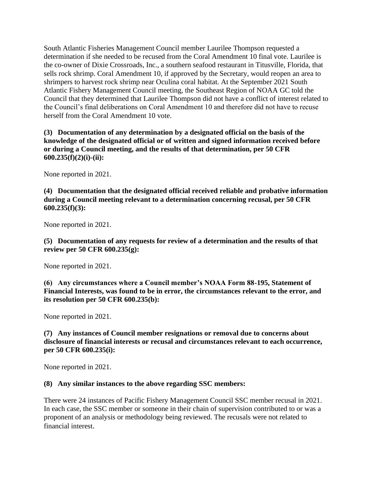South Atlantic Fisheries Management Council member Laurilee Thompson requested a determination if she needed to be recused from the Coral Amendment 10 final vote. Laurilee is the co-owner of Dixie Crossroads, Inc., a southern seafood restaurant in Titusville, Florida, that sells rock shrimp. Coral Amendment 10, if approved by the Secretary, would reopen an area to shrimpers to harvest rock shrimp near Oculina coral habitat. At the September 2021 South Atlantic Fishery Management Council meeting, the Southeast Region of NOAA GC told the Council that they determined that Laurilee Thompson did not have a conflict of interest related to the Council's final deliberations on Coral Amendment 10 and therefore did not have to recuse herself from the Coral Amendment 10 vote.

**(3) Documentation of any determination by a designated official on the basis of the knowledge of the designated official or of written and signed information received before or during a Council meeting, and the results of that determination, per 50 CFR 600.235(f)(2)(i)-(ii):**

None reported in 2021.

**(4) Documentation that the designated official received reliable and probative information during a Council meeting relevant to a determination concerning recusal, per 50 CFR 600.235(f)(3):**

None reported in 2021.

**(5) Documentation of any requests for review of a determination and the results of that review per 50 CFR 600.235(g):**

None reported in 2021.

**(6) Any circumstances where a Council member's NOAA Form 88-195, Statement of Financial Interests, was found to be in error, the circumstances relevant to the error, and its resolution per 50 CFR 600.235(b):**

None reported in 2021.

**(7) Any instances of Council member resignations or removal due to concerns about disclosure of financial interests or recusal and circumstances relevant to each occurrence, per 50 CFR 600.235(i):**

None reported in 2021.

#### **(8) Any similar instances to the above regarding SSC members:**

There were 24 instances of Pacific Fishery Management Council SSC member recusal in 2021. In each case, the SSC member or someone in their chain of supervision contributed to or was a proponent of an analysis or methodology being reviewed. The recusals were not related to financial interest.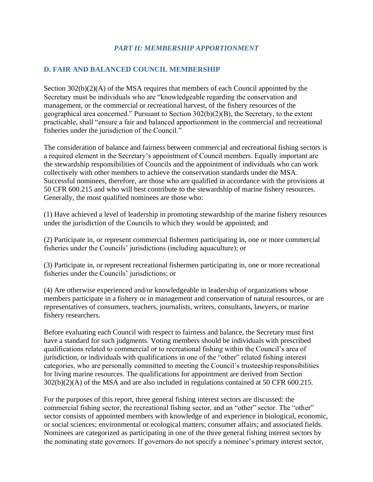#### *PART II: MEMBERSHIP APPORTIONMENT*

#### **D. FAIR AND BALANCED COUNCIL MEMBERSHIP**

Section  $302(b)(2)(A)$  of the MSA requires that members of each Council appointed by the Secretary must be individuals who are "knowledgeable regarding the conservation and management, or the commercial or recreational harvest, of the fishery resources of the geographical area concerned." Pursuant to Section 302(b)(2)(B), the Secretary, to the extent practicable, shall "ensure a fair and balanced apportionment in the commercial and recreational fisheries under the jurisdiction of the Council."

The consideration of balance and fairness between commercial and recreational fishing sectors is a required element in the Secretary's appointment of Council members. Equally important are the stewardship responsibilities of Councils and the appointment of individuals who can work collectively with other members to achieve the conservation standards under the MSA. Successful nominees, therefore, are those who are qualified in accordance with the provisions at 50 CFR 600.215 and who will best contribute to the stewardship of marine fishery resources. Generally, the most qualified nominees are those who:

(1) Have achieved a level of leadership in promoting stewardship of the marine fishery resources under the jurisdiction of the Councils to which they would be appointed; and

(2) Participate in, or represent commercial fishermen participating in, one or more commercial fisheries under the Councils' jurisdictions (including aquaculture); or

(3) Participate in, or represent recreational fishermen participating in, one or more recreational fisheries under the Councils' jurisdictions; or

(4) Are otherwise experienced and/or knowledgeable in leadership of organizations whose members participate in a fishery or in management and conservation of natural resources, or are representatives of consumers, teachers, journalists, writers, consultants, lawyers, or marine fishery researchers.

Before evaluating each Council with respect to fairness and balance, the Secretary must first have a standard for such judgments. Voting members should be individuals with prescribed qualifications related to commercial or to recreational fishing within the Council's area of jurisdiction, or individuals with qualifications in one of the "other" related fishing interest categories, who are personally committed to meeting the Council's trusteeship responsibilities for living marine resources. The qualifications for appointment are derived from Section 302(b)(2)(A) of the MSA and are also included in regulations contained at 50 CFR 600.215.

For the purposes of this report, three general fishing interest sectors are discussed: the commercial fishing sector, the recreational fishing sector, and an "other" sector. The "other" sector consists of appointed members with knowledge of and experience in biological, economic, or social sciences; environmental or ecological matters; consumer affairs; and associated fields. Nominees are categorized as participating in one of the three general fishing interest sectors by the nominating state governors. If governors do not specify a nominee's primary interest sector,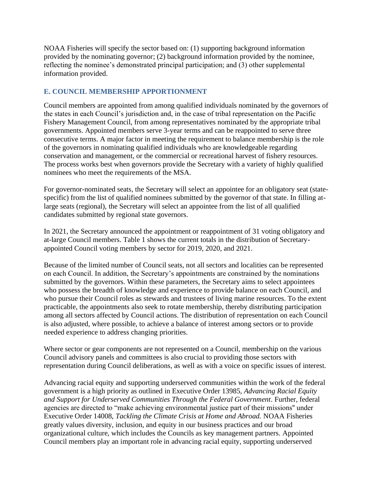NOAA Fisheries will specify the sector based on: (1) supporting background information provided by the nominating governor; (2) background information provided by the nominee, reflecting the nominee's demonstrated principal participation; and (3) other supplemental information provided.

#### **E. COUNCIL MEMBERSHIP APPORTIONMENT**

Council members are appointed from among qualified individuals nominated by the governors of the states in each Council's jurisdiction and, in the case of tribal representation on the Pacific Fishery Management Council, from among representatives nominated by the appropriate tribal governments. Appointed members serve 3-year terms and can be reappointed to serve three consecutive terms. A major factor in meeting the requirement to balance membership is the role of the governors in nominating qualified individuals who are knowledgeable regarding conservation and management, or the commercial or recreational harvest of fishery resources. The process works best when governors provide the Secretary with a variety of highly qualified nominees who meet the requirements of the MSA.

For governor-nominated seats, the Secretary will select an appointee for an obligatory seat (statespecific) from the list of qualified nominees submitted by the governor of that state. In filling atlarge seats (regional), the Secretary will select an appointee from the list of all qualified candidates submitted by regional state governors.

In 2021, the Secretary announced the appointment or reappointment of 31 voting obligatory and at-large Council members. Table 1 shows the current totals in the distribution of Secretaryappointed Council voting members by sector for 2019, 2020, and 2021.

Because of the limited number of Council seats, not all sectors and localities can be represented on each Council. In addition, the Secretary's appointments are constrained by the nominations submitted by the governors. Within these parameters, the Secretary aims to select appointees who possess the breadth of knowledge and experience to provide balance on each Council, and who pursue their Council roles as stewards and trustees of living marine resources. To the extent practicable, the appointments also seek to rotate membership, thereby distributing participation among all sectors affected by Council actions. The distribution of representation on each Council is also adjusted, where possible, to achieve a balance of interest among sectors or to provide needed experience to address changing priorities.

Where sector or gear components are not represented on a Council, membership on the various Council advisory panels and committees is also crucial to providing those sectors with representation during Council deliberations, as well as with a voice on specific issues of interest.

Advancing racial equity and supporting underserved communities within the work of the federal government is a high priority as outlined in Executive Order 13985, *Advancing Racial Equity and Support for Underserved Communities Through the Federal Government*. Further, federal agencies are directed to "make achieving environmental justice part of their missions'' under Executive Order 14008, *Tackling the Climate Crisis at Home and Abroad.* NOAA Fisheries greatly values diversity, inclusion, and equity in our business practices and our broad organizational culture, which includes the Councils as key management partners. Appointed Council members play an important role in advancing racial equity, supporting underserved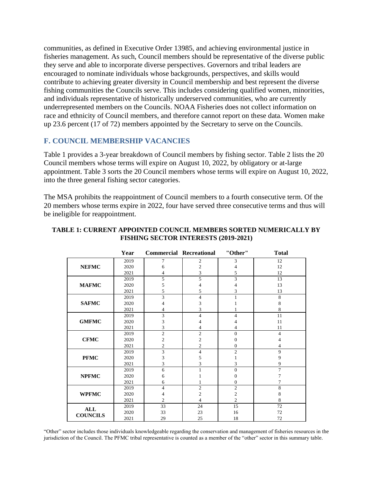communities, as defined in Executive Order 13985, and achieving environmental justice in fisheries management. As such, Council members should be representative of the diverse public they serve and able to incorporate diverse perspectives. Governors and tribal leaders are encouraged to nominate individuals whose backgrounds, perspectives, and skills would contribute to achieving greater diversity in Council membership and best represent the diverse fishing communities the Councils serve. This includes considering qualified women, minorities, and individuals representative of historically underserved communities, who are currently underrepresented members on the Councils. NOAA Fisheries does not collect information on race and ethnicity of Council members, and therefore cannot report on these data. Women make up 23.6 percent (17 of 72) members appointed by the Secretary to serve on the Councils.

#### **F. COUNCIL MEMBERSHIP VACANCIES**

Table 1 provides a 3-year breakdown of Council members by fishing sector. Table 2 lists the 20 Council members whose terms will expire on August 10, 2022, by obligatory or at-large appointment. Table 3 sorts the 20 Council members whose terms will expire on August 10, 2022, into the three general fishing sector categories.

The MSA prohibits the reappointment of Council members to a fourth consecutive term. Of the 20 members whose terms expire in 2022, four have served three consecutive terms and thus will be ineligible for reappointment.

|                 | Year | <b>Commercial Recreational</b> |                | "Other"        | <b>Total</b>   |
|-----------------|------|--------------------------------|----------------|----------------|----------------|
|                 | 2019 | 7                              | 2              | 3              | 12             |
| <b>NEFMC</b>    | 2020 | 6                              | $\overline{c}$ | 4              | 12             |
|                 | 2021 | 4                              | 3              | 5              | 12             |
|                 | 2019 | 5                              | 5              | 3              | 13             |
| <b>MAFMC</b>    | 2020 | 5                              | 4              | 4              | 13             |
|                 | 2021 | 5                              | 5              | 3              | 13             |
|                 | 2019 | 3                              | 4              | 1              | 8              |
| <b>SAFMC</b>    | 2020 | 4                              | 3              |                | 8              |
|                 | 2021 | 4                              | 3              |                | 8              |
|                 | 2019 | 3                              | 4              | 4              | 11             |
| <b>GMFMC</b>    | 2020 | 3                              | 4              | 4              | 11             |
|                 | 2021 | 3                              | 4              | 4              | 11             |
|                 | 2019 | $\sqrt{2}$                     | $\overline{2}$ | $\Omega$       | $\overline{4}$ |
| <b>CFMC</b>     | 2020 | $\overline{\mathbf{c}}$        | 2              | 0              | 4              |
|                 | 2021 | $\overline{c}$                 | $\overline{c}$ | $\Omega$       | 4              |
|                 | 2019 | 3                              | 4              | $\overline{2}$ | 9              |
| <b>PFMC</b>     | 2020 | 3                              | 5              |                | 9              |
|                 | 2021 | 3                              | 3              | 3              | 9              |
|                 | 2019 | 6                              | 1              | $\Omega$       | $\overline{7}$ |
| <b>NPFMC</b>    | 2020 | 6                              |                | $\Omega$       | 7              |
|                 | 2021 | 6                              |                | 0              | 7              |
|                 | 2019 | 4                              | $\overline{2}$ | $\overline{2}$ | 8              |
| <b>WPFMC</b>    | 2020 | 4                              | $\overline{c}$ | $\overline{c}$ | 8              |
|                 | 2021 | $\overline{c}$                 | 4              | $\overline{2}$ | 8              |
| <b>ALL</b>      | 2019 | 33                             | 24             | 15             | 72             |
|                 | 2020 | 33                             | 23             | 16             | 72             |
| <b>COUNCILS</b> | 2021 | 29                             | 25             | 18             | 72             |

#### **TABLE 1: CURRENT APPOINTED COUNCIL MEMBERS SORTED NUMERICALLY BY FISHING SECTOR INTERESTS (2019-2021)**

"Other" sector includes those individuals knowledgeable regarding the conservation and management of fisheries resources in the jurisdiction of the Council. The PFMC tribal representative is counted as a member of the "other" sector in this summary table.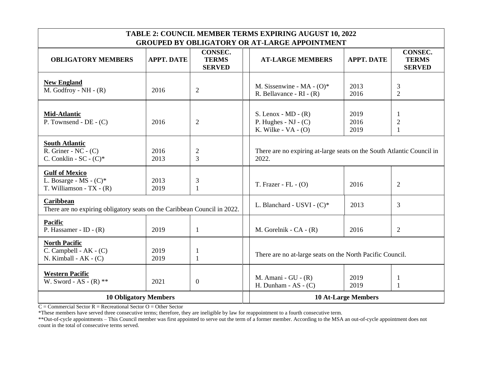| <b>TABLE 2: COUNCIL MEMBER TERMS EXPIRING AUGUST 10, 2022</b><br><b>GROUPED BY OBLIGATORY OR AT-LARGE APPOINTMENT</b> |                   |                                          |                                                                                                                                         |  |  |  |
|-----------------------------------------------------------------------------------------------------------------------|-------------------|------------------------------------------|-----------------------------------------------------------------------------------------------------------------------------------------|--|--|--|
| <b>OBLIGATORY MEMBERS</b>                                                                                             | <b>APPT. DATE</b> | CONSEC.<br><b>TERMS</b><br><b>SERVED</b> | CONSEC.<br><b>APPT. DATE</b><br><b>TERMS</b><br><b>AT-LARGE MEMBERS</b><br><b>SERVED</b>                                                |  |  |  |
| <b>New England</b><br>M. Godfroy - $NH - (R)$                                                                         | 2016              | $\overline{2}$                           | 2013<br>M. Sissenwine - MA - $(O)^*$<br>3<br>$\overline{2}$<br>R. Bellavance - $RI - (R)$<br>2016                                       |  |  |  |
| <b>Mid-Atlantic</b><br>$\overline{P}$ . Townsend - DE - (C)                                                           | 2016              | $\overline{2}$                           | S. Lenox - $MD - (R)$<br>2019<br>1<br>P. Hughes - $NJ - (C)$<br>2016<br>$\mathfrak{2}$<br>K. Wilke - $VA - (O)$<br>2019<br>$\mathbf{1}$ |  |  |  |
| <b>South Atlantic</b><br>R. Griner - NC - $(C)$<br>C. Conklin - $SC - (C)^*$                                          | 2016<br>2013      | $\overline{2}$<br>3                      | There are no expiring at-large seats on the South Atlantic Council in<br>2022.                                                          |  |  |  |
| <b>Gulf of Mexico</b><br>L. Bosarge - MS - (C)*<br>T. Williamson - TX - $(R)$                                         | 2013<br>2019      | 3<br>$\mathbf{1}$                        | T. Frazer - FL $-$ (O)<br>2016<br>$\overline{2}$                                                                                        |  |  |  |
| <b>Caribbean</b><br>There are no expiring obligatory seats on the Caribbean Council in 2022.                          |                   |                                          | $\overline{3}$<br>L. Blanchard - USVI - $(C)^*$<br>2013                                                                                 |  |  |  |
| <b>Pacific</b><br>P. Hassamer - ID - $(R)$                                                                            | 2019              | $\mathbf{1}$                             | M. Gorelnik - $CA - (R)$<br>2016<br>$\overline{2}$                                                                                      |  |  |  |
| <b>North Pacific</b><br>$C.$ Campbell - AK - $(C)$<br>N. Kimball - $AK - (C)$                                         | 2019<br>2019      | -1<br>1                                  | There are no at-large seats on the North Pacific Council.                                                                               |  |  |  |
| <b>Western Pacific</b><br>W. Sword - AS - $(R)$ **                                                                    | 2021              | $\boldsymbol{0}$                         | M. Amani - $GU - (R)$<br>2019<br>$\mathbf{1}$<br>H. Dunham - AS - $(C)$<br>2019<br>$\mathbf{1}$                                         |  |  |  |
| <b>10 Obligatory Members</b>                                                                                          |                   |                                          | <b>10 At-Large Members</b>                                                                                                              |  |  |  |

 $C =$ Commercial Sector  $R =$  Recreational Sector  $O =$  Other Sector

\*These members have served three consecutive terms; therefore, they are ineligible by law for reappointment to a fourth consecutive term.

\*\*Out-of-cycle appointments – This Council member was first appointed to serve out the term of a former member. According to the MSA an out-of-cycle appointment does not count in the total of consecutive terms served.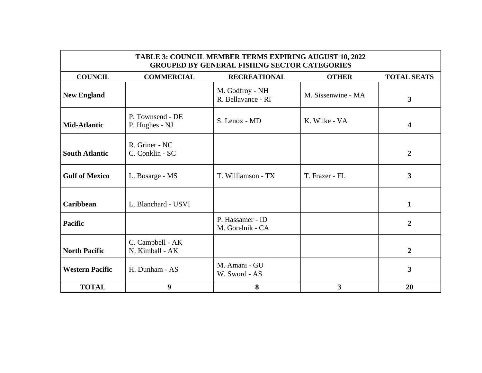| <b>TABLE 3: COUNCIL MEMBER TERMS EXPIRING AUGUST 10, 2022</b><br><b>GROUPED BY GENERAL FISHING SECTOR CATEGORIES</b> |                                     |                                       |                    |                         |  |  |
|----------------------------------------------------------------------------------------------------------------------|-------------------------------------|---------------------------------------|--------------------|-------------------------|--|--|
| <b>COUNCIL</b>                                                                                                       | <b>COMMERCIAL</b>                   | <b>RECREATIONAL</b>                   | <b>OTHER</b>       | <b>TOTAL SEATS</b>      |  |  |
| <b>New England</b>                                                                                                   |                                     | M. Godfroy - NH<br>R. Bellavance - RI | M. Sissenwine - MA | $\mathbf{3}$            |  |  |
| <b>Mid-Atlantic</b>                                                                                                  | P. Townsend - DE<br>P. Hughes - NJ  | S. Lenox - MD                         | K. Wilke - VA      | $\overline{\mathbf{4}}$ |  |  |
| <b>South Atlantic</b>                                                                                                | R. Griner - NC<br>C. Conklin - SC   |                                       |                    | $\overline{2}$          |  |  |
| <b>Gulf of Mexico</b>                                                                                                | L. Bosarge - MS                     | T. Williamson - TX                    | T. Frazer - FL     | 3                       |  |  |
| <b>Caribbean</b>                                                                                                     | L. Blanchard - USVI                 |                                       |                    | $\mathbf{1}$            |  |  |
| <b>Pacific</b>                                                                                                       |                                     | P. Hassamer - ID<br>M. Gorelnik - CA  |                    | $\overline{2}$          |  |  |
| <b>North Pacific</b>                                                                                                 | C. Campbell - AK<br>N. Kimball - AK |                                       |                    | $\overline{2}$          |  |  |
| <b>Western Pacific</b>                                                                                               | H. Dunham - AS                      | M. Amani - GU<br>W. Sword - AS        |                    | 3                       |  |  |
| <b>TOTAL</b>                                                                                                         | 9                                   | 8                                     | 3                  | 20                      |  |  |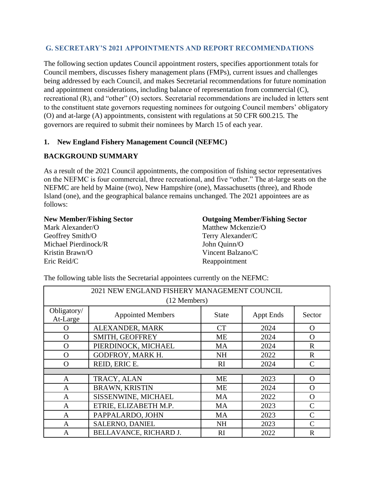#### **G. SECRETARY'S 2021 APPOINTMENTS AND REPORT RECOMMENDATIONS**

The following section updates Council appointment rosters, specifies apportionment totals for Council members, discusses fishery management plans (FMPs), current issues and challenges being addressed by each Council, and makes Secretarial recommendations for future nomination and appointment considerations, including balance of representation from commercial (C), recreational (R), and "other" (O) sectors. Secretarial recommendations are included in letters sent to the constituent state governors requesting nominees for outgoing Council members' obligatory (O) and at-large (A) appointments, consistent with regulations at 50 CFR 600.215. The governors are required to submit their nominees by March 15 of each year.

#### **1. New England Fishery Management Council (NEFMC)**

#### **BACKGROUND SUMMARY**

As a result of the 2021 Council appointments, the composition of fishing sector representatives on the NEFMC is four commercial, three recreational, and five "other." The at-large seats on the NEFMC are held by Maine (two), New Hampshire (one), Massachusetts (three), and Rhode Island (one), and the geographical balance remains unchanged. The 2021 appointees are as follows:

#### **New Member/Fishing Sector**

Mark Alexander/O Geoffrey Smith/O Michael Pierdinock/R Kristin Brawn/O Eric Reid/C

#### **Outgoing Member/Fishing Sector**

Matthew Mckenzie/O Terry Alexander/C John Quinn/O Vincent Balzano/C Reappointment

| 2021 NEW ENGLAND FISHERY MANAGEMENT COUNCIL |                          |              |                  |               |  |  |  |  |
|---------------------------------------------|--------------------------|--------------|------------------|---------------|--|--|--|--|
|                                             | (12 Members)             |              |                  |               |  |  |  |  |
| Obligatory/<br>At-Large                     | <b>Appointed Members</b> | <b>State</b> | <b>Appt Ends</b> | Sector        |  |  |  |  |
| $\Omega$                                    | ALEXANDER, MARK          | <b>CT</b>    | 2024             | $\Omega$      |  |  |  |  |
| $\Omega$                                    | SMITH, GEOFFREY          | <b>ME</b>    | 2024             | $\Omega$      |  |  |  |  |
| O                                           | PIERDINOCK, MICHAEL      | <b>MA</b>    | 2024             | $\mathbf R$   |  |  |  |  |
| $\Omega$                                    | GODFROY, MARK H.         | <b>NH</b>    | 2022             | $\mathbb{R}$  |  |  |  |  |
| $\Omega$                                    | REID, ERIC E.            | RI           | 2024             | $\mathcal{C}$ |  |  |  |  |
|                                             |                          |              |                  |               |  |  |  |  |
| A                                           | TRACY, ALAN              | <b>ME</b>    | 2023             | $\Omega$      |  |  |  |  |
| A                                           | <b>BRAWN, KRISTIN</b>    | <b>ME</b>    | 2024             | $\mathbf{O}$  |  |  |  |  |
| A                                           | SISSENWINE, MICHAEL      | MA           | 2022             | $\Omega$      |  |  |  |  |
| A                                           | ETRIE, ELIZABETH M.P.    | <b>MA</b>    | 2023             | $\mathsf{C}$  |  |  |  |  |
| A                                           | PAPPALARDO, JOHN         | MA           | 2023             | $\mathsf{C}$  |  |  |  |  |
| A                                           | SALERNO, DANIEL          | <b>NH</b>    | 2023             | $\mathcal{C}$ |  |  |  |  |
| A                                           | BELLAVANCE, RICHARD J.   | RI           | 2022             | $\mathbf R$   |  |  |  |  |

The following table lists the Secretarial appointees currently on the NEFMC: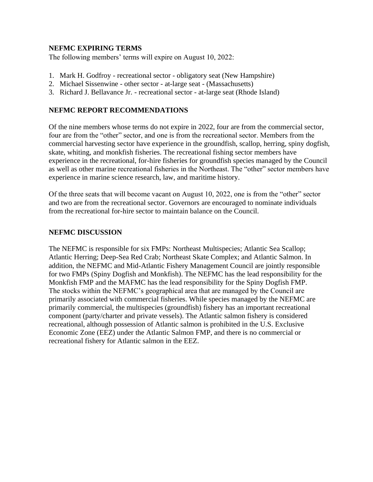#### **NEFMC EXPIRING TERMS**

The following members' terms will expire on August 10, 2022:

- 1. Mark H. Godfroy recreational sector obligatory seat (New Hampshire)
- 2. Michael Sissenwine other sector at-large seat (Massachusetts)
- 3. Richard J. Bellavance Jr. recreational sector at-large seat (Rhode Island)

#### **NEFMC REPORT RECOMMENDATIONS**

Of the nine members whose terms do not expire in 2022, four are from the commercial sector, four are from the "other" sector, and one is from the recreational sector. Members from the commercial harvesting sector have experience in the groundfish, scallop, herring, spiny dogfish, skate, whiting, and monkfish fisheries. The recreational fishing sector members have experience in the recreational, for-hire fisheries for groundfish species managed by the Council as well as other marine recreational fisheries in the Northeast. The "other" sector members have experience in marine science research, law, and maritime history.

Of the three seats that will become vacant on August 10, 2022, one is from the "other" sector and two are from the recreational sector. Governors are encouraged to nominate individuals from the recreational for-hire sector to maintain balance on the Council.

#### **NEFMC DISCUSSION**

The NEFMC is responsible for six FMPs: Northeast Multispecies; Atlantic Sea Scallop; Atlantic Herring; Deep-Sea Red Crab; Northeast Skate Complex; and Atlantic Salmon. In addition, the NEFMC and Mid-Atlantic Fishery Management Council are jointly responsible for two FMPs (Spiny Dogfish and Monkfish). The NEFMC has the lead responsibility for the Monkfish FMP and the MAFMC has the lead responsibility for the Spiny Dogfish FMP. The stocks within the NEFMC's geographical area that are managed by the Council are primarily associated with commercial fisheries. While species managed by the NEFMC are primarily commercial, the multispecies (groundfish) fishery has an important recreational component (party/charter and private vessels). The Atlantic salmon fishery is considered recreational, although possession of Atlantic salmon is prohibited in the U.S. Exclusive Economic Zone (EEZ) under the Atlantic Salmon FMP, and there is no commercial or recreational fishery for Atlantic salmon in the EEZ.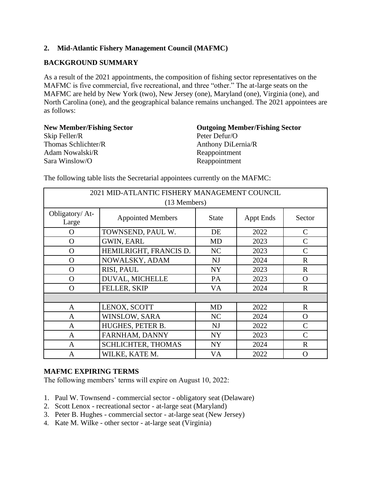### **2. Mid-Atlantic Fishery Management Council (MAFMC)**

#### **BACKGROUND SUMMARY**

As a result of the 2021 appointments, the composition of fishing sector representatives on the MAFMC is five commercial, five recreational, and three "other." The at-large seats on the MAFMC are held by New York (two), New Jersey (one), Maryland (one), Virginia (one), and North Carolina (one), and the geographical balance remains unchanged. The 2021 appointees are as follows:

**New Member/Fishing Sector** Skip Feller/R Thomas Schlichter/R Adam Nowalski/R Sara Winslow/O

**Outgoing Member/Fishing Sector** Peter Defur/O Anthony DiLernia/R Reappointment Reappointment

| 2021 MID-ATLANTIC FISHERY MANAGEMENT COUNCIL |                           |                |                  |               |  |  |  |  |
|----------------------------------------------|---------------------------|----------------|------------------|---------------|--|--|--|--|
|                                              | (13 Members)              |                |                  |               |  |  |  |  |
| Obligatory/At-<br>Large                      | <b>Appointed Members</b>  | <b>State</b>   | <b>Appt Ends</b> | Sector        |  |  |  |  |
| O                                            | TOWNSEND, PAUL W.         | DE             | 2022             | C             |  |  |  |  |
| $\Omega$                                     | <b>GWIN, EARL</b>         | MD             | 2023             | $\mathsf{C}$  |  |  |  |  |
| O                                            | HEMILRIGHT, FRANCIS D.    | NC             | 2023             | C             |  |  |  |  |
| O                                            | NOWALSKY, ADAM            | <b>NJ</b>      | 2024             | $\mathbf R$   |  |  |  |  |
| O                                            | RISI, PAUL                | <b>NY</b>      | 2023             | $\mathbf R$   |  |  |  |  |
| $\Omega$                                     | DUVAL, MICHELLE           | PA             | 2023             | $\Omega$      |  |  |  |  |
| $\Omega$                                     | FELLER, SKIP              | <b>VA</b>      | 2024             | $\mathbf{R}$  |  |  |  |  |
|                                              |                           |                |                  |               |  |  |  |  |
| $\mathbf{A}$                                 | LENOX, SCOTT              | MD             | 2022             | $\mathbf R$   |  |  |  |  |
| $\mathbf{A}$                                 | WINSLOW, SARA             | N <sub>C</sub> | 2024             | $\Omega$      |  |  |  |  |
| $\mathbf{A}$                                 | HUGHES, PETER B.          | NJ             | 2022             | $\mathcal{C}$ |  |  |  |  |
| $\mathbf{A}$                                 | FARNHAM, DANNY            | <b>NY</b>      | 2023             | $\mathcal{C}$ |  |  |  |  |
| $\mathbf{A}$                                 | <b>SCHLICHTER, THOMAS</b> | NY <sub></sub> | 2024             | $\mathbf R$   |  |  |  |  |
| $\mathbf{A}$                                 | WILKE, KATE M.            | VA             | 2022             | O             |  |  |  |  |

The following table lists the Secretarial appointees currently on the MAFMC:

#### **MAFMC EXPIRING TERMS**

The following members' terms will expire on August 10, 2022:

- 1. Paul W. Townsend commercial sector obligatory seat (Delaware)
- 2. Scott Lenox recreational sector at-large seat (Maryland)
- 3. Peter B. Hughes commercial sector at-large seat (New Jersey)
- 4. Kate M. Wilke other sector at-large seat (Virginia)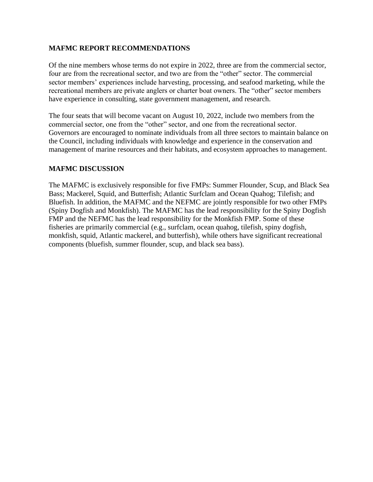#### **MAFMC REPORT RECOMMENDATIONS**

Of the nine members whose terms do not expire in 2022, three are from the commercial sector, four are from the recreational sector, and two are from the "other" sector. The commercial sector members' experiences include harvesting, processing, and seafood marketing, while the recreational members are private anglers or charter boat owners. The "other" sector members have experience in consulting, state government management, and research.

The four seats that will become vacant on August 10, 2022, include two members from the commercial sector, one from the "other" sector, and one from the recreational sector. Governors are encouraged to nominate individuals from all three sectors to maintain balance on the Council, including individuals with knowledge and experience in the conservation and management of marine resources and their habitats, and ecosystem approaches to management.

#### **MAFMC DISCUSSION**

The MAFMC is exclusively responsible for five FMPs: Summer Flounder, Scup, and Black Sea Bass; Mackerel, Squid, and Butterfish; Atlantic Surfclam and Ocean Quahog; Tilefish; and Bluefish. In addition, the MAFMC and the NEFMC are jointly responsible for two other FMPs (Spiny Dogfish and Monkfish). The MAFMC has the lead responsibility for the Spiny Dogfish FMP and the NEFMC has the lead responsibility for the Monkfish FMP. Some of these fisheries are primarily commercial (e.g., surfclam, ocean quahog, tilefish, spiny dogfish, monkfish, squid, Atlantic mackerel, and butterfish), while others have significant recreational components (bluefish, summer flounder, scup, and black sea bass).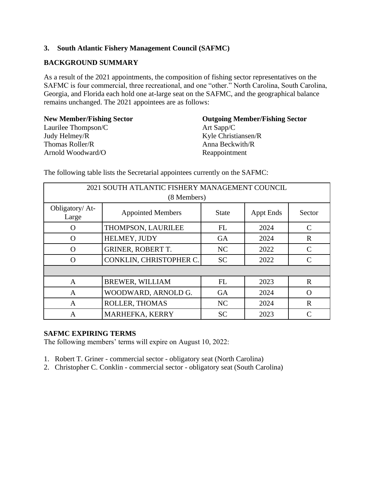#### **3. South Atlantic Fishery Management Council (SAFMC)**

#### **BACKGROUND SUMMARY**

As a result of the 2021 appointments, the composition of fishing sector representatives on the SAFMC is four commercial, three recreational, and one "other." North Carolina, South Carolina, Georgia, and Florida each hold one at-large seat on the SAFMC, and the geographical balance remains unchanged. The 2021 appointees are as follows:

**New Member/Fishing Sector** Laurilee Thompson/C Judy Helmey/R Thomas Roller/R Arnold Woodward/O

**Outgoing Member/Fishing Sector** Art Sapp/C Kyle Christiansen/R Anna Beckwith/R Reappointment

| 2021 SOUTH ATLANTIC FISHERY MANAGEMENT COUNCIL |                          |              |           |             |  |  |
|------------------------------------------------|--------------------------|--------------|-----------|-------------|--|--|
|                                                | (8 Members)              |              |           |             |  |  |
| Obligatory/At-<br>Large                        | <b>Appointed Members</b> | <b>State</b> | Appt Ends | Sector      |  |  |
| O                                              | THOMPSON, LAURILEE       | FL           | 2024      | C           |  |  |
| $\Omega$                                       | HELMEY, JUDY             | <b>GA</b>    | 2024      | $\mathbf R$ |  |  |
| $\Omega$                                       | <b>GRINER, ROBERT T.</b> | NC           | 2022      | C           |  |  |
| ∩                                              | CONKLIN, CHRISTOPHER C.  | <b>SC</b>    | 2022      | C           |  |  |
|                                                |                          |              |           |             |  |  |
| $\mathbf{A}$                                   | <b>BREWER, WILLIAM</b>   | FL           | 2023      | $\mathbf R$ |  |  |
| A                                              | WOODWARD, ARNOLD G.      | <b>GA</b>    | 2024      | O           |  |  |
| A                                              | ROLLER, THOMAS           | NC           | 2024      | $\mathbf R$ |  |  |
| A                                              | MARHEFKA, KERRY          | <b>SC</b>    | 2023      | $\subset$   |  |  |

The following table lists the Secretarial appointees currently on the SAFMC:

#### **SAFMC EXPIRING TERMS**

The following members' terms will expire on August 10, 2022:

- 1. Robert T. Griner commercial sector obligatory seat (North Carolina)
- 2. Christopher C. Conklin commercial sector obligatory seat (South Carolina)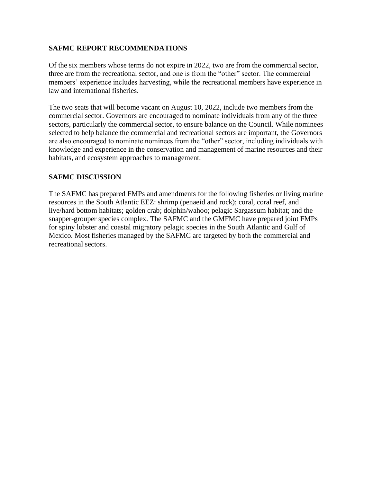#### **SAFMC REPORT RECOMMENDATIONS**

Of the six members whose terms do not expire in 2022, two are from the commercial sector, three are from the recreational sector, and one is from the "other" sector. The commercial members' experience includes harvesting, while the recreational members have experience in law and international fisheries.

The two seats that will become vacant on August 10, 2022, include two members from the commercial sector. Governors are encouraged to nominate individuals from any of the three sectors, particularly the commercial sector, to ensure balance on the Council. While nominees selected to help balance the commercial and recreational sectors are important, the Governors are also encouraged to nominate nominees from the "other" sector, including individuals with knowledge and experience in the conservation and management of marine resources and their habitats, and ecosystem approaches to management.

#### **SAFMC DISCUSSION**

The SAFMC has prepared FMPs and amendments for the following fisheries or living marine resources in the South Atlantic EEZ: shrimp (penaeid and rock); coral, coral reef, and live/hard bottom habitats; golden crab; dolphin/wahoo; pelagic Sargassum habitat; and the snapper-grouper species complex. The SAFMC and the GMFMC have prepared joint FMPs for spiny lobster and coastal migratory pelagic species in the South Atlantic and Gulf of Mexico. Most fisheries managed by the SAFMC are targeted by both the commercial and recreational sectors.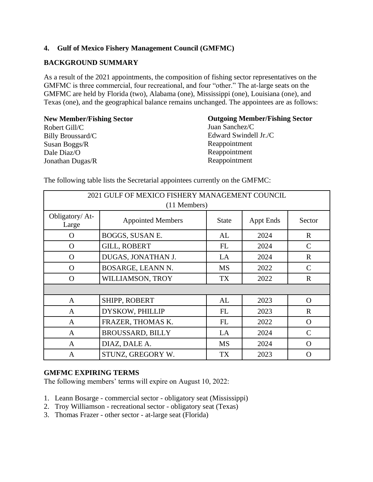#### **4. Gulf of Mexico Fishery Management Council (GMFMC)**

#### **BACKGROUND SUMMARY**

As a result of the 2021 appointments, the composition of fishing sector representatives on the GMFMC is three commercial, four recreational, and four "other." The at-large seats on the GMFMC are held by Florida (two), Alabama (one), Mississippi (one), Louisiana (one), and Texas (one), and the geographical balance remains unchanged. The appointees are as follows:

**New Member/Fishing Sector** Robert Gill/C Billy Broussard/C Susan Boggs/R Dale Diaz/O Jonathan Dugas/R

#### **Outgoing Member/Fishing Sector**

Juan Sanchez/C Edward Swindell Jr./C Reappointment Reappointment Reappointment

| 2021 GULF OF MEXICO FISHERY MANAGEMENT COUNCIL<br>(11 Members) |                          |              |                  |               |  |  |
|----------------------------------------------------------------|--------------------------|--------------|------------------|---------------|--|--|
| Obligatory/At-<br>Large                                        | <b>Appointed Members</b> | <b>State</b> | <b>Appt Ends</b> | Sector        |  |  |
| $\Omega$                                                       | BOGGS, SUSAN E.          | AL           | 2024             | $\mathbf{R}$  |  |  |
| $\Omega$                                                       | <b>GILL, ROBERT</b>      | FL           | 2024             | $\mathcal{C}$ |  |  |
| $\Omega$                                                       | DUGAS, JONATHAN J.       | LA           | 2024             | $\mathbf{R}$  |  |  |
| $\Omega$                                                       | BOSARGE, LEANN N.        | <b>MS</b>    | 2022             | C             |  |  |
| $\Omega$                                                       | WILLIAMSON, TROY         | TX           | 2022             | $\mathbf R$   |  |  |
|                                                                |                          |              |                  |               |  |  |
| $\mathbf{A}$                                                   | <b>SHIPP, ROBERT</b>     | AL           | 2023             | $\Omega$      |  |  |
| $\mathbf{A}$                                                   | DYSKOW, PHILLIP          | FL           | 2023             | $\mathbf R$   |  |  |
| $\mathbf{A}$                                                   | FRAZER, THOMAS K.        | FL           | 2022             | $\Omega$      |  |  |
| $\mathbf{A}$                                                   | <b>BROUSSARD, BILLY</b>  | LA           | 2024             | $\mathcal{C}$ |  |  |
| $\mathbf{A}$                                                   | DIAZ, DALE A.            | <b>MS</b>    | 2024             | $\Omega$      |  |  |
| $\mathbf{A}$                                                   | STUNZ, GREGORY W.        | TX           | 2023             | O             |  |  |

The following table lists the Secretarial appointees currently on the GMFMC:

#### **GMFMC EXPIRING TERMS**

The following members' terms will expire on August 10, 2022:

- 1. Leann Bosarge commercial sector obligatory seat (Mississippi)
- 2. Troy Williamson recreational sector obligatory seat (Texas)
- 3. Thomas Frazer other sector at-large seat (Florida)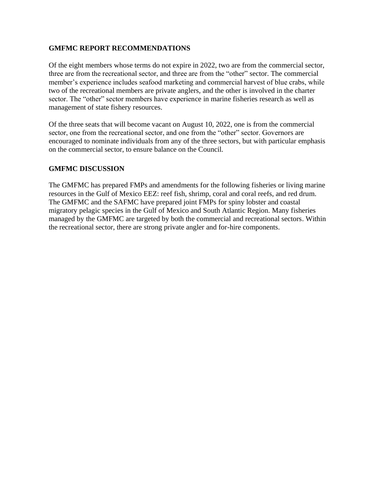#### **GMFMC REPORT RECOMMENDATIONS**

Of the eight members whose terms do not expire in 2022, two are from the commercial sector, three are from the recreational sector, and three are from the "other" sector. The commercial member's experience includes seafood marketing and commercial harvest of blue crabs, while two of the recreational members are private anglers, and the other is involved in the charter sector. The "other" sector members have experience in marine fisheries research as well as management of state fishery resources.

Of the three seats that will become vacant on August 10, 2022, one is from the commercial sector, one from the recreational sector, and one from the "other" sector. Governors are encouraged to nominate individuals from any of the three sectors, but with particular emphasis on the commercial sector, to ensure balance on the Council.

#### **GMFMC DISCUSSION**

The GMFMC has prepared FMPs and amendments for the following fisheries or living marine resources in the Gulf of Mexico EEZ: reef fish, shrimp, coral and coral reefs, and red drum. The GMFMC and the SAFMC have prepared joint FMPs for spiny lobster and coastal migratory pelagic species in the Gulf of Mexico and South Atlantic Region. Many fisheries managed by the GMFMC are targeted by both the commercial and recreational sectors. Within the recreational sector, there are strong private angler and for-hire components.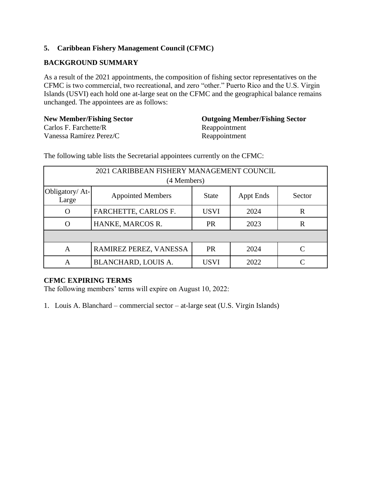### **5. Caribbean Fishery Management Council (CFMC)**

### **BACKGROUND SUMMARY**

As a result of the 2021 appointments, the composition of fishing sector representatives on the CFMC is two commercial, two recreational, and zero "other." Puerto Rico and the U.S. Virgin Islands (USVI) each hold one at-large seat on the CFMC and the geographical balance remains unchanged. The appointees are as follows:

**New Member/Fishing Sector**  Carlos F. Farchette/R Vanessa Ramírez Perez/C

**Outgoing Member/Fishing Sector** Reappointment Reappointment

The following table lists the Secretarial appointees currently on the CFMC:

| 2021 CARIBBEAN FISHERY MANAGEMENT COUNCIL |                          |              |                  |             |  |
|-------------------------------------------|--------------------------|--------------|------------------|-------------|--|
|                                           | (4 Members)              |              |                  |             |  |
| Obligatory/At-<br>Large                   | <b>Appointed Members</b> | <b>State</b> | <b>Appt Ends</b> | Sector      |  |
| O                                         | FARCHETTE, CARLOS F.     | <b>USVI</b>  | 2024             | $\mathbf R$ |  |
| O                                         | HANKE, MARCOS R.         | <b>PR</b>    | 2023             | $\mathbf R$ |  |
|                                           |                          |              |                  |             |  |
| A                                         | RAMIREZ PEREZ, VANESSA   | <b>PR</b>    | 2024             | C           |  |
| А                                         | BLANCHARD, LOUIS A.      | <b>USVI</b>  | 2022             |             |  |

#### **CFMC EXPIRING TERMS**

The following members' terms will expire on August 10, 2022:

1. Louis A. Blanchard – commercial sector – at-large seat (U.S. Virgin Islands)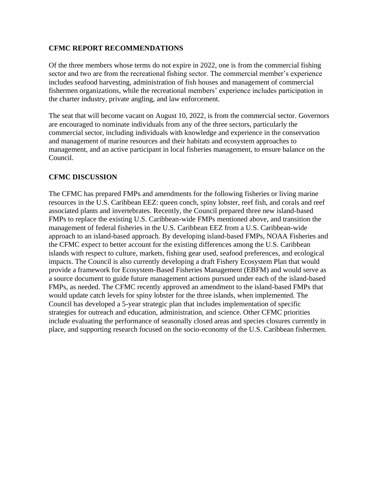#### **CFMC REPORT RECOMMENDATIONS**

Of the three members whose terms do not expire in 2022, one is from the commercial fishing sector and two are from the recreational fishing sector. The commercial member's experience includes seafood harvesting, administration of fish houses and management of commercial fishermen organizations, while the recreational members' experience includes participation in the charter industry, private angling, and law enforcement.

The seat that will become vacant on August 10, 2022, is from the commercial sector. Governors are encouraged to nominate individuals from any of the three sectors, particularly the commercial sector, including individuals with knowledge and experience in the conservation and management of marine resources and their habitats and ecosystem approaches to management, and an active participant in local fisheries management, to ensure balance on the Council.

#### **CFMC DISCUSSION**

The CFMC has prepared FMPs and amendments for the following fisheries or living marine resources in the U.S. Caribbean EEZ: queen conch, spiny lobster, reef fish, and corals and reef associated plants and invertebrates. Recently, the Council prepared three new island-based FMPs to replace the existing U.S. Caribbean-wide FMPs mentioned above, and transition the management of federal fisheries in the U.S. Caribbean EEZ from a U.S. Caribbean-wide approach to an island-based approach. By developing island-based FMPs, NOAA Fisheries and the CFMC expect to better account for the existing differences among the U.S. Caribbean islands with respect to culture, markets, fishing gear used, seafood preferences, and ecological impacts. The Council is also currently developing a draft Fishery Ecosystem Plan that would provide a framework for Ecosystem-Based Fisheries Management (EBFM) and would serve as a source document to guide future management actions pursued under each of the island-based FMPs, as needed. The CFMC recently approved an amendment to the island-based FMPs that would update catch levels for spiny lobster for the three islands, when implemented. The Council has developed a 5-year strategic plan that includes implementation of specific strategies for outreach and education, administration, and science. Other CFMC priorities include evaluating the performance of seasonally closed areas and species closures currently in place, and supporting research focused on the socio-economy of the U.S. Caribbean fishermen.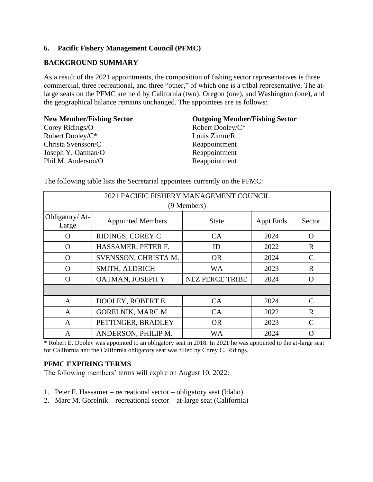#### **6. Pacific Fishery Management Council (PFMC)**

#### **BACKGROUND SUMMARY**

As a result of the 2021 appointments, the composition of fishing sector representatives is three commercial, three recreational, and three "other," of which one is a tribal representative. The atlarge seats on the PFMC are held by California (two), Oregon (one), and Washington (one), and the geographical balance remains unchanged. The appointees are as follows:

**New Member/Fishing Sector** Corey Ridings/O Robert Dooley/C\* Christa Svensson/C Joseph Y. Oatman/O Phil M. Anderson/O

#### **Outgoing Member/Fishing Sector**

Robert Dooley/C\* Louis Zimm/R Reappointment Reappointment Reappointment

| 2021 PACIFIC FISHERY MANAGEMENT COUNCIL |                          |                        |                  |                             |  |  |
|-----------------------------------------|--------------------------|------------------------|------------------|-----------------------------|--|--|
|                                         |                          | (9 Members)            |                  |                             |  |  |
| Obligatory/At-<br>Large                 | <b>Appointed Members</b> | State                  | <b>Appt Ends</b> | Sector                      |  |  |
| O                                       | RIDINGS, COREY C.        | <b>CA</b>              | 2024             | $\Omega$                    |  |  |
| $\Omega$                                | HASSAMER, PETER F.       | ID                     | 2022             | $\mathbf R$                 |  |  |
| $\Omega$                                | SVENSSON, CHRISTA M.     | <b>OR</b>              | 2024             | $\mathcal{C}$               |  |  |
| $\Omega$                                | SMITH, ALDRICH           | <b>WA</b>              | 2023             | $\mathbf R$                 |  |  |
| $\Omega$                                | OATMAN, JOSEPH Y.        | <b>NEZ PERCE TRIBE</b> | 2024             | $\Omega$                    |  |  |
|                                         |                          |                        |                  |                             |  |  |
| $\mathbf{A}$                            | DOOLEY, ROBERT E.        | CA                     | 2024             | $\mathcal{C}$               |  |  |
| $\overline{A}$                          | GORELNIK, MARC M.        | CA                     | 2022             | $\mathbf R$                 |  |  |
| A                                       | PETTINGER, BRADLEY       | <b>OR</b>              | 2023             | $\mathcal{C}_{\mathcal{C}}$ |  |  |
| A                                       | ANDERSON, PHILIP M.      | WA                     | 2024             | ∩                           |  |  |

The following table lists the Secretarial appointees currently on the PFMC:

\* Robert E. Dooley was appointed to an obligatory seat in 2018. In 2021 he was appointed to the at-large seat for California and the California obligatory seat was filled by Corey C. Ridings.

#### **PFMC EXPIRING TERMS**

The following members' terms will expire on August 10, 2022:

- 1. Peter F. Hassamer recreational sector obligatory seat (Idaho)
- 2. Marc M. Gorelnik recreational sector at-large seat (California)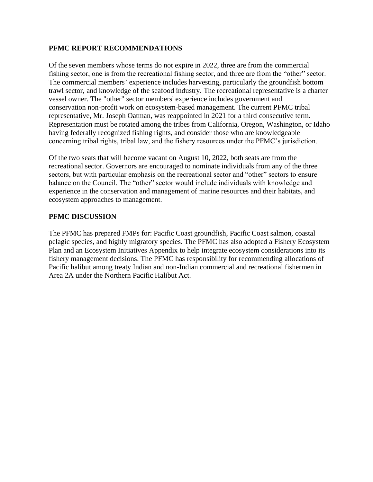#### **PFMC REPORT RECOMMENDATIONS**

Of the seven members whose terms do not expire in 2022, three are from the commercial fishing sector, one is from the recreational fishing sector, and three are from the "other" sector. The commercial members' experience includes harvesting, particularly the groundfish bottom trawl sector, and knowledge of the seafood industry. The recreational representative is a charter vessel owner. The "other" sector members' experience includes government and conservation non-profit work on ecosystem-based management. The current PFMC tribal representative, Mr. Joseph Oatman, was reappointed in 2021 for a third consecutive term. Representation must be rotated among the tribes from California, Oregon, Washington, or Idaho having federally recognized fishing rights, and consider those who are knowledgeable concerning tribal rights, tribal law, and the fishery resources under the PFMC's jurisdiction.

Of the two seats that will become vacant on August 10, 2022, both seats are from the recreational sector. Governors are encouraged to nominate individuals from any of the three sectors, but with particular emphasis on the recreational sector and "other" sectors to ensure balance on the Council. The "other" sector would include individuals with knowledge and experience in the conservation and management of marine resources and their habitats, and ecosystem approaches to management.

#### **PFMC DISCUSSION**

The PFMC has prepared FMPs for: Pacific Coast groundfish, Pacific Coast salmon, coastal pelagic species, and highly migratory species. The PFMC has also adopted a Fishery Ecosystem Plan and an Ecosystem Initiatives Appendix to help integrate ecosystem considerations into its fishery management decisions. The PFMC has responsibility for recommending allocations of Pacific halibut among treaty Indian and non-Indian commercial and recreational fishermen in Area 2A under the Northern Pacific Halibut Act.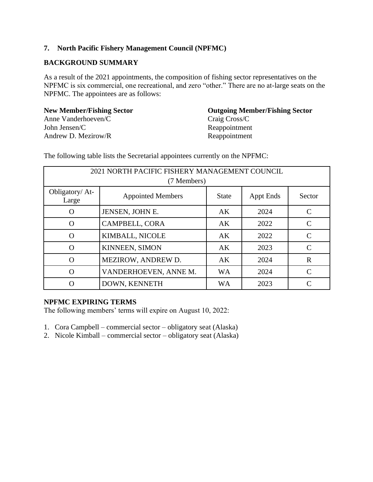#### **7. North Pacific Fishery Management Council (NPFMC)**

#### **BACKGROUND SUMMARY**

As a result of the 2021 appointments, the composition of fishing sector representatives on the NPFMC is six commercial, one recreational, and zero "other." There are no at-large seats on the NPFMC. The appointees are as follows:

**New Member/Fishing Sector** Anne Vanderhoeven/C John Jensen/C Andrew D. Mezirow/R

### **Outgoing Member/Fishing Sector**  Craig Cross/C Reappointment Reappointment

2021 NORTH PACIFIC FISHERY MANAGEMENT COUNCIL (7 Members) Obligatory/ At-Early Alexander Appointed Members State Appt Ends Sector O JENSEN, JOHN E. AK 2024 C O CAMPBELL, CORA AK 2022 C O KIMBALL, NICOLE AK 2022 C O KINNEEN, SIMON AK 2023 C O MEZIROW, ANDREW D. AK | 2024 R O VANDERHOEVEN, ANNE M. WA 2024 C O DOWN, KENNETH WA 2023 C

The following table lists the Secretarial appointees currently on the NPFMC:

### **NPFMC EXPIRING TERMS**

The following members' terms will expire on August 10, 2022:

- 1. Cora Campbell commercial sector obligatory seat (Alaska)
- 2. Nicole Kimball commercial sector obligatory seat (Alaska)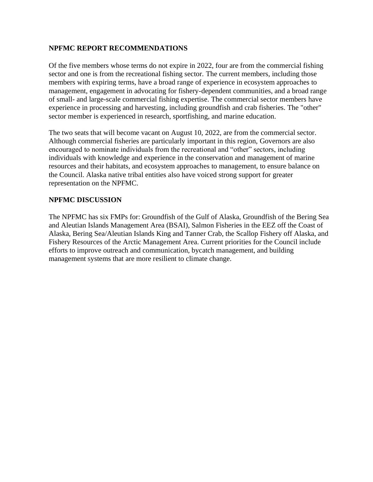#### **NPFMC REPORT RECOMMENDATIONS**

Of the five members whose terms do not expire in 2022, four are from the commercial fishing sector and one is from the recreational fishing sector. The current members, including those members with expiring terms, have a broad range of experience in ecosystem approaches to management, engagement in advocating for fishery-dependent communities, and a broad range of small- and large-scale commercial fishing expertise. The commercial sector members have experience in processing and harvesting, including groundfish and crab fisheries. The "other" sector member is experienced in research, sportfishing, and marine education.

The two seats that will become vacant on August 10, 2022, are from the commercial sector. Although commercial fisheries are particularly important in this region, Governors are also encouraged to nominate individuals from the recreational and "other" sectors, including individuals with knowledge and experience in the conservation and management of marine resources and their habitats, and ecosystem approaches to management, to ensure balance on the Council. Alaska native tribal entities also have voiced strong support for greater representation on the NPFMC.

#### **NPFMC DISCUSSION**

The NPFMC has six FMPs for: Groundfish of the Gulf of Alaska, Groundfish of the Bering Sea and Aleutian Islands Management Area (BSAI), Salmon Fisheries in the EEZ off the Coast of Alaska, Bering Sea/Aleutian Islands King and Tanner Crab, the Scallop Fishery off Alaska, and Fishery Resources of the Arctic Management Area. Current priorities for the Council include efforts to improve outreach and communication, bycatch management, and building management systems that are more resilient to climate change.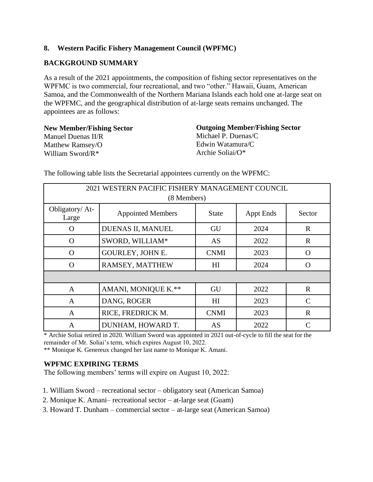#### **8. Western Pacific Fishery Management Council (WPFMC)**

### **BACKGROUND SUMMARY**

As a result of the 2021 appointments, the composition of fishing sector representatives on the WPFMC is two commercial, four recreational, and two "other." Hawaii, Guam, American Samoa, and the Commonwealth of the Northern Mariana Islands each hold one at-large seat on the WPFMC, and the geographical distribution of at-large seats remains unchanged. The appointees are as follows:

**New Member/Fishing Sector** Manuel Duenas II/R Matthew Ramsey/O William Sword/R\*

**Outgoing Member/Fishing Sector** Michael P. Duenas/C Edwin Watamura/C Archie Soliai/O\*

| 2021 WESTERN PACIFIC FISHERY MANAGEMENT COUNCIL |                          |                |                  |               |  |  |
|-------------------------------------------------|--------------------------|----------------|------------------|---------------|--|--|
|                                                 | (8 Members)              |                |                  |               |  |  |
| Obligatory/ At-<br>Large                        | <b>Appointed Members</b> | <b>State</b>   | <b>Appt Ends</b> | Sector        |  |  |
| O                                               | DUENAS II, MANUEL        | GU             | 2024             | $\mathbf R$   |  |  |
| $\Omega$                                        | SWORD, WILLIAM*          | AS             | 2022             | $\mathbf R$   |  |  |
| $\Omega$                                        | GOURLEY, JOHN E.         | <b>CNMI</b>    | 2023             | $\Omega$      |  |  |
| $\Omega$                                        | RAMSEY, MATTHEW          | HI             | 2024             | $\Omega$      |  |  |
|                                                 |                          |                |                  |               |  |  |
| $\mathbf{A}$                                    | AMANI, MONIQUE K.**      | GU             | 2022             | R             |  |  |
| A                                               | DANG, ROGER              | H <sub>I</sub> | 2023             | C             |  |  |
| $\overline{A}$                                  | RICE, FREDRICK M.        | <b>CNMI</b>    | 2023             | $\mathbf R$   |  |  |
| $\mathsf{A}$                                    | DUNHAM, HOWARD T.        | AS             | 2022             | $\mathcal{C}$ |  |  |

The following table lists the Secretarial appointees currently on the WPFMC:

\* Archie Soliai retired in 2020. William Sword was appointed in 2021 out-of-cycle to fill the seat for the remainder of Mr. Soliai's term, which expires August 10, 2022.

\*\* Monique K. Genereux changed her last name to Monique K. Amani.

#### **WPFMC EXPIRING TERMS**

The following members' terms will expire on August 10, 2022:

- 1. William Sword recreational sector obligatory seat (American Samoa)
- 2. Monique K. Amani– recreational sector at-large seat (Guam)
- 3. Howard T. Dunham commercial sector at-large seat (American Samoa)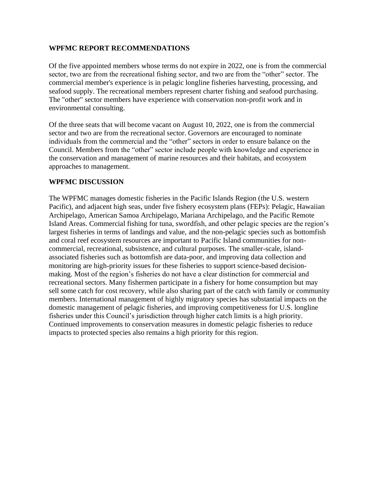#### **WPFMC REPORT RECOMMENDATIONS**

Of the five appointed members whose terms do not expire in 2022, one is from the commercial sector, two are from the recreational fishing sector, and two are from the "other" sector. The commercial member's experience is in pelagic longline fisheries harvesting, processing, and seafood supply. The recreational members represent charter fishing and seafood purchasing. The "other" sector members have experience with conservation non-profit work and in environmental consulting.

Of the three seats that will become vacant on August 10, 2022, one is from the commercial sector and two are from the recreational sector. Governors are encouraged to nominate individuals from the commercial and the "other" sectors in order to ensure balance on the Council. Members from the "other" sector include people with knowledge and experience in the conservation and management of marine resources and their habitats, and ecosystem approaches to management.

#### **WPFMC DISCUSSION**

The WPFMC manages domestic fisheries in the Pacific Islands Region (the U.S. western Pacific), and adjacent high seas, under five fishery ecosystem plans (FEPs): Pelagic, Hawaiian Archipelago, American Samoa Archipelago, Mariana Archipelago, and the Pacific Remote Island Areas. Commercial fishing for tuna, swordfish, and other pelagic species are the region's largest fisheries in terms of landings and value, and the non-pelagic species such as bottomfish and coral reef ecosystem resources are important to Pacific Island communities for noncommercial, recreational, subsistence, and cultural purposes. The smaller-scale, islandassociated fisheries such as bottomfish are data-poor, and improving data collection and monitoring are high-priority issues for these fisheries to support science-based decisionmaking. Most of the region's fisheries do not have a clear distinction for commercial and recreational sectors. Many fishermen participate in a fishery for home consumption but may sell some catch for cost recovery, while also sharing part of the catch with family or community members. International management of highly migratory species has substantial impacts on the domestic management of pelagic fisheries, and improving competitiveness for U.S. longline fisheries under this Council's jurisdiction through higher catch limits is a high priority. Continued improvements to conservation measures in domestic pelagic fisheries to reduce impacts to protected species also remains a high priority for this region.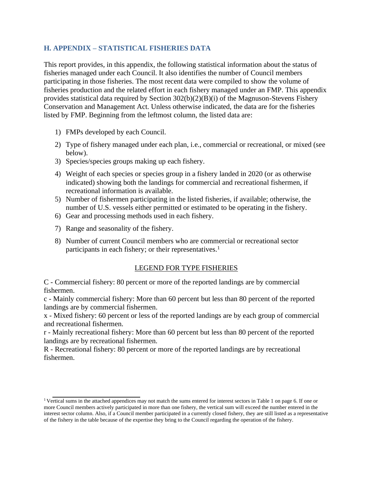#### **H. APPENDIX – STATISTICAL FISHERIES DATA**

This report provides, in this appendix, the following statistical information about the status of fisheries managed under each Council. It also identifies the number of Council members participating in those fisheries. The most recent data were compiled to show the volume of fisheries production and the related effort in each fishery managed under an FMP. This appendix provides statistical data required by Section 302(b)(2)(B)(i) of the Magnuson-Stevens Fishery Conservation and Management Act. Unless otherwise indicated, the data are for the fisheries listed by FMP. Beginning from the leftmost column, the listed data are:

- 1) FMPs developed by each Council.
- 2) Type of fishery managed under each plan, i.e., commercial or recreational, or mixed (see below).
- 3) Species/species groups making up each fishery.
- 4) Weight of each species or species group in a fishery landed in 2020 (or as otherwise indicated) showing both the landings for commercial and recreational fishermen, if recreational information is available.
- 5) Number of fishermen participating in the listed fisheries, if available; otherwise, the number of U.S. vessels either permitted or estimated to be operating in the fishery.
- 6) Gear and processing methods used in each fishery.
- 7) Range and seasonality of the fishery.
- 8) Number of current Council members who are commercial or recreational sector participants in each fishery; or their representatives.<sup>1</sup>

#### LEGEND FOR TYPE FISHERIES

C - Commercial fishery: 80 percent or more of the reported landings are by commercial fishermen.

c - Mainly commercial fishery: More than 60 percent but less than 80 percent of the reported landings are by commercial fishermen.

x - Mixed fishery: 60 percent or less of the reported landings are by each group of commercial and recreational fishermen.

r - Mainly recreational fishery: More than 60 percent but less than 80 percent of the reported landings are by recreational fishermen.

R - Recreational fishery: 80 percent or more of the reported landings are by recreational fishermen.

<sup>&</sup>lt;sup>1</sup>Vertical sums in the attached appendices may not match the sums entered for interest sectors in Table 1 on page 6. If one or more Council members actively participated in more than one fishery, the vertical sum will exceed the number entered in the interest sector column. Also, if a Council member participated in a currently closed fishery, they are still listed as a representative of the fishery in the table because of the expertise they bring to the Council regarding the operation of the fishery.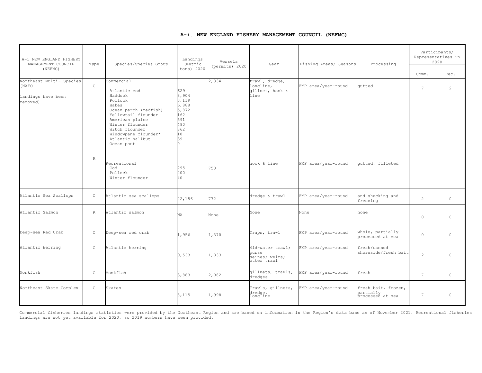#### **A-i. NEW ENGLAND FISHERY MANAGEMENT COUNCIL (NEFMC)**

| A-i NEW ENGLAND FISHERY<br>MANAGEMENT COUNCIL<br>(NEFMC)            | Type         | Species/Species Group                                                                                                                                                                                                       | Landings<br>(metric<br>tons) 2020                                                    | Vessels<br>(permits) 2020 | Gear                                                       | Fishing Areas/ Seasons | Processing                                           | Comm.           | Participants/<br>Representatives in<br>2020<br>Rec. |
|---------------------------------------------------------------------|--------------|-----------------------------------------------------------------------------------------------------------------------------------------------------------------------------------------------------------------------------|--------------------------------------------------------------------------------------|---------------------------|------------------------------------------------------------|------------------------|------------------------------------------------------|-----------------|-----------------------------------------------------|
| Northeast Multi- Species<br>[NAFO<br>landings have been<br>removed] | $\mathsf{C}$ | Commercial<br>Atlantic cod<br>Haddock<br>Pollock<br>Hakes<br>Ocean perch (redfish)<br>Yellowtail flounder<br>American plaice<br>Winter flounder<br>Witch flounder<br>Windowpane flounder*<br>Atlantic halibut<br>Ocean pout | 629<br>8,904<br>3,119<br>6,888<br>5,872<br>162<br>591<br>490<br>862<br>10<br>39<br>n | 2,334                     | trawl, dredge,<br>longline,<br>gillnet, hook &<br>line     | FMP area/year-round    | qutted                                               | $\overline{7}$  | $\mathcal{L}$                                       |
|                                                                     | $\mathbb{R}$ | Recreational<br>Cod<br>Pollock<br>Winter flounder                                                                                                                                                                           | 295<br>200<br>40                                                                     | 750                       | hook & line                                                | FMP area/year-round    | qutted, filleted                                     |                 |                                                     |
| Atlantic Sea Scallops                                               | $\mathsf C$  | Atlantic sea scallops                                                                                                                                                                                                       | 22,186                                                                               | 772                       | dredge & trawl                                             | FMP area/year-round    | and shucking and<br>freezing                         | $\overline{2}$  | $\circ$                                             |
| Atlantic Salmon                                                     | $\mathbb{R}$ | Atlantic salmon                                                                                                                                                                                                             | NA                                                                                   | None                      | None                                                       | None                   | none                                                 | $\circ$         | $\circ$                                             |
| Deep-sea Red Crab                                                   | $\mathsf C$  | Deep-sea red crab                                                                                                                                                                                                           | 1,956                                                                                | 1,370                     | Traps, trawl                                               | FMP area/year-round    | whole, partially<br>processed at sea                 | $\circ$         | $\circ$                                             |
| Atlantic Herring                                                    | $\mathsf C$  | Atlantic herring                                                                                                                                                                                                            | 9,533                                                                                | 1,833                     | Mid-water trawl;<br>purse<br>seines; weirs;<br>otter trawl | FMP area/year-round    | fresh/canned<br>shoreside/fresh bait                 | $\overline{2}$  | $\Omega$                                            |
| Monkfish                                                            | $\mathsf C$  | Monkfish                                                                                                                                                                                                                    | 3,883                                                                                | 2,082                     | gillnets, trawls,<br>dredges                               | FMP area/year-round    | fresh                                                | 7               | $\circ$                                             |
| Northeast Skate Complex                                             | $\mathsf C$  | Skates                                                                                                                                                                                                                      | 8,115                                                                                | 1,998                     | Trawls, gillnets,<br>dredge,<br>longline                   | FMP area/year-round    | fresh bait, frozen,<br>partially<br>processed at sea | $7\overline{ }$ | $\circ$                                             |

Commercial fisheries landings statistics were provided by the Northeast Region and are based on information in the Region's data base as of November 2021. Recreational fisheries landings are not yet available for 2020, so 2019 numbers have been provided.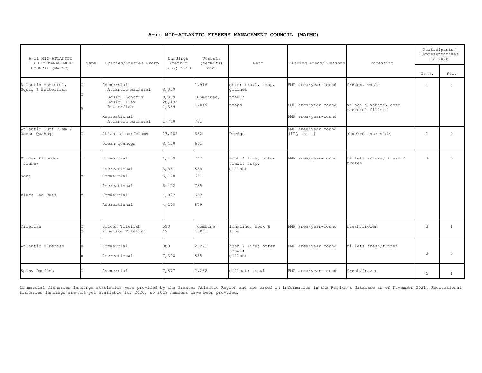#### **A-ii MID-ATLANTIC FISHERY MANAGEMENT COUNCIL (MAFMC)**

| A-ii MID-ATLANTIC<br>FISHERY MANAGEMENT              | Type | Species/Species Group                                                                                               | Landings<br>(metric                        | Vessels<br>(permits)                | Gear                                             | Fishing Areas/ Seasons                                            | Processing                                                 | Participants/<br>Representatives<br>in 2020 |                |
|------------------------------------------------------|------|---------------------------------------------------------------------------------------------------------------------|--------------------------------------------|-------------------------------------|--------------------------------------------------|-------------------------------------------------------------------|------------------------------------------------------------|---------------------------------------------|----------------|
| COUNCIL (MAFMC)                                      |      |                                                                                                                     | tons) 2020                                 | 2020                                |                                                  |                                                                   |                                                            | Comm.                                       | Rec.           |
| Atlantic Mackerel,<br>Squid & Butterfish             |      | Commercial<br>Atlantic mackerel<br>Squid, Longfin<br>Squid, Ilex<br>Butterfish<br>Recreational<br>Atlantic mackerel | 8,039<br>9,309<br>28,135<br>2,389<br>1,760 | 1,916<br>(Combined)<br>1,819<br>781 | otter trawl, trap,<br>qillnet<br>trawl;<br>traps | FMP area/year-round<br>FMP area/year-round<br>FMP area/year-round | frozen, whole<br>at-sea & ashore, some<br>mackerel fillets | $\mathbf{1}$                                | $\overline{2}$ |
| Atlantic Surf Clam &<br>Ocean Quahogs                |      | Atlantic surfclams<br>Ocean quahogs                                                                                 | 13,485<br>8,430                            | 662<br>661                          | Dredge                                           | FMP area/year-round<br>(TTQ mgmt.)                                | shucked shoreside                                          | $\mathbf{1}$                                | $\circ$        |
| Summer Flounder<br>(fluke)<br>Scup<br>Black Sea Bass |      | Commercial<br>Recreational<br>Commercial<br>Recreational<br>Commercial                                              | 4,139<br>3,581<br>6,178<br>6,402<br>1,922  | 747<br>885<br>621<br>785<br>682     | hook & line, otter<br>trawl, trap,<br>gillnet    | FMP area/year-round                                               | fillets ashore: fresh &<br>frozen                          | $\mathbf{3}$                                | 5              |
|                                                      |      | Recreational                                                                                                        | 4,298                                      | 879                                 |                                                  |                                                                   |                                                            |                                             |                |
| Tilefish                                             |      | Golden Tilefish<br>Blueline Tilefish                                                                                | 593<br>49                                  | (combine)<br>1,851                  | longline, hook &<br>line                         | FMP area/year-round                                               | fresh/frozen                                               | 3                                           | $\mathbf{1}$   |
| Atlantic Bluefish                                    |      | Commercial<br>Recreational                                                                                          | 980<br>7,348                               | 2,271<br>885                        | hook & line; otter<br>trawl;<br>gillnet          | FMP area/year-round                                               | fillets fresh/frozen                                       | 3                                           | 5              |
| Spiny Dogfish                                        |      | Commercial                                                                                                          | 7,877                                      | 2,268                               | gillnet; trawl                                   | FMP area/year-round                                               | fresh/frozen                                               | 5                                           | $\mathbf{1}$   |

Commercial fisheries landings statistics were provided by the Greater Atlantic Region and are based on information in the Region's database as of November 2021. Recreational<br>fisheries landings are not yet available for 202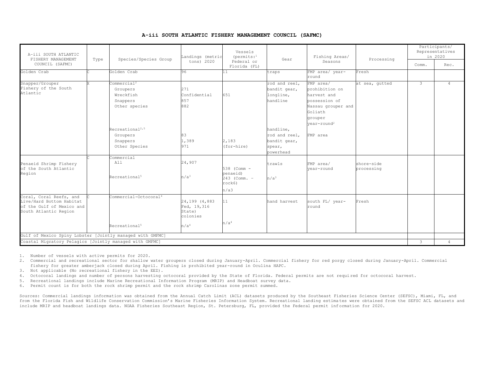|  |  |  |  | A-iii SOUTH ATLANTIC FISHERY MANAGEMENT COUNCIL (SAFMC) |  |  |
|--|--|--|--|---------------------------------------------------------|--|--|
|--|--|--|--|---------------------------------------------------------|--|--|

| A-iii SOUTH ATLANTIC<br>FISHERY MANAGEMENT<br>COUNCIL (SAFMC)                                             | Type | Species/Species Group                                                                                                                                 | Landings (metric<br>tons) 2020                                          | Vessels<br>$(permits:$ <sup>1</sup><br>Federal or         | Gear                                                                                                                        | Fishing Areas/<br>Seasons                                                                                                                         | Processing               | Comm. | Participants/<br>Representatives<br>in 2020<br>Rec. |
|-----------------------------------------------------------------------------------------------------------|------|-------------------------------------------------------------------------------------------------------------------------------------------------------|-------------------------------------------------------------------------|-----------------------------------------------------------|-----------------------------------------------------------------------------------------------------------------------------|---------------------------------------------------------------------------------------------------------------------------------------------------|--------------------------|-------|-----------------------------------------------------|
| Golden Crab                                                                                               |      | Golden Crab                                                                                                                                           | 96                                                                      | Florida (FL)<br>11                                        | traps                                                                                                                       | FMP area/ year-<br>round                                                                                                                          | Fresh                    |       |                                                     |
| Snapper/Grouper<br>Fishery of the South<br>Atlantic                                                       |      | Commercial <sup>2</sup><br>Groupers<br>Wreckfish<br>Snappers<br>Other species<br>Recreational <sup>2,5</sup><br>Groupers<br>Snappers<br>Other Species | 271<br>Confidential<br>857<br>882<br>83<br>1,389<br>971                 | 651<br>2,183<br>(for-hire)                                | rod and reel,<br>bandit gear,<br>longline,<br>handline<br>handline,<br>rod and reel,<br>bandit gear,<br>spear,<br>powerhead | FMP area/<br>prohibition on<br>harvest and<br>possession of<br>Nassau grouper and<br>Goliath<br>grouper<br>$year$ -round <sup>2</sup><br>FMP area | at sea, gutted           | 3     | $\overline{4}$                                      |
| Penaeid Shrimp Fishery<br>of the South Atlantic<br>Region                                                 |      | Commercial<br>All<br>Recreational <sup>5</sup>                                                                                                        | 24,907<br>n/a <sup>3</sup>                                              | 538 (Comm -<br>penaeid)<br>243 (Comm. -<br>rock6)<br>n/a3 | trawls<br>n/a <sup>3</sup>                                                                                                  | FMP area/<br>vear-round                                                                                                                           | shore-side<br>processing |       |                                                     |
| Coral, Coral Reefs, and<br>Live/Hard Bottom Habitat<br>of the Gulf of Mexico and<br>South Atlantic Region |      | Commercial-Octocoral <sup>4</sup><br>Recreational <sup>5</sup>                                                                                        | 24,199 (4,883)<br>Fed, 19,316<br>State)<br>colonies<br>n/a <sup>4</sup> | 11<br>n/a <sup>4</sup>                                    | hand harvest                                                                                                                | south FL/ year-<br>round                                                                                                                          | Fresh                    |       |                                                     |
| Gulf of Mexico Spiny Lobster [Jointly managed with GMFMC]                                                 |      |                                                                                                                                                       |                                                                         |                                                           |                                                                                                                             |                                                                                                                                                   |                          |       |                                                     |
| Coastal Migratory Pelagics [Jointly managed with GMFMC]                                                   |      |                                                                                                                                                       |                                                                         |                                                           |                                                                                                                             |                                                                                                                                                   |                          | 3     | $\overline{4}$                                      |

1. Number of vessels with active permits for 2020.

2. Commercial and recreational sector for shallow water groupers closed during January-April. Commercial fishery for red porgy closed during January-April. Commercial fishery for greater amberjack closed during April. Fishing is prohibited year-round in Oculina HAPC.

3. Not applicable (No recreational fishery in the EEZ).

- 4. Octocoral landings and number of persons harvesting octocoral provided by the State of Florida. Federal permits are not requi red for octocoral harvest.
- 5. Recreational landings include Marine Recreational Information Program (MRIP) and Headboat survey data.
- 6. Permit count is for both the rock shrimp permit and the rock shrimp Carolinas zone permit summed.

Sources: Commercial landings information was obtained from the Annual Catch Limit (ACL) datasets produced by the Southeast Fisheries Science Center (SEFSC), Miami, FL, and from the Florida Fish and Wildlife Conservation Commission's Marine Fisheries Information System. Recreational landing estima tes were obtained from the SEFSC ACL datasets and include MRIP and headboat landings data. NOAA Fisheries Southeast Region, St. Petersburg, FL, provided the Federal permit inf ormation for 2020.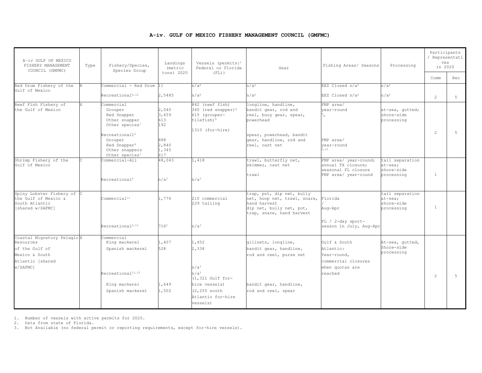#### **A-iv. GULF OF MEXICO FISHERY MANAGEMENT COUNCIL (GMFMC)**

| A-iv GULF OF MEXICO<br>FISHERY MANAGEMENT<br>COUNCIL (GMFMC)                                                | Type | Fishery/Species,<br>Species Group                                                                                                                                                                         | Landings<br>(metric                                          | Vessels (permits:1<br>Federal or Florida                                                                                                       | Gear                                                                                                                                                         | Fishing Areas/ Seasons                                                                        | Processing                                               | Participants<br>/ Representati<br>ves<br>in 2020 |       |
|-------------------------------------------------------------------------------------------------------------|------|-----------------------------------------------------------------------------------------------------------------------------------------------------------------------------------------------------------|--------------------------------------------------------------|------------------------------------------------------------------------------------------------------------------------------------------------|--------------------------------------------------------------------------------------------------------------------------------------------------------------|-----------------------------------------------------------------------------------------------|----------------------------------------------------------|--------------------------------------------------|-------|
|                                                                                                             |      |                                                                                                                                                                                                           | tons) 2020                                                   | $(FL)$ )                                                                                                                                       |                                                                                                                                                              |                                                                                               |                                                          | Comm                                             | Rec   |
| Red Drum Fishery of the                                                                                     |      | Commercial - Red Drum                                                                                                                                                                                     | 11                                                           | n/a <sup>6</sup>                                                                                                                               | n/a <sup>6</sup>                                                                                                                                             | EEZ Closed n/a <sup>6</sup>                                                                   | n/a <sup>6</sup>                                         |                                                  |       |
| Gulf of Mexico                                                                                              |      | Recreational <sup>6,12</sup>                                                                                                                                                                              | 2,5485                                                       | n/a <sup>6</sup>                                                                                                                               | n/a <sup>6</sup>                                                                                                                                             | EEZ Closed n/a <sup>6</sup>                                                                   | n/a <sup>6</sup>                                         | $\mathfrak{D}$                                   | $5 -$ |
| Reef Fish Fishery of<br>the Gulf of Mexico                                                                  |      | Commercial<br>Grouper<br>Red Snapper<br>Other snapper<br>Other species <sup>7</sup><br>Recretational1 <sup>2</sup><br>Grouper<br>Red Snapper <sup>4</sup><br>Other snappers<br>Other species <sup>7</sup> | 2,040<br>3,459<br>613<br>192<br>888<br>2,840<br>1,345<br>617 | 842 (reef fish)<br>340 (red snapper) <sup>8</sup><br>615 (grouper-<br>tilefish) <sup>9</sup><br>1310 (for-hire)                                | longline, handline,<br>bandit gear, rod and<br>reel, buoy gear, spear,<br>powerhead<br>spear, powerhead, bandit<br>gear, handline, rod and<br>reel, cast net | FMP area/<br>vear-round<br>FMP area/<br>vear-round<br>4.10                                    | at-sea, qutted;<br>shore-side<br>processing              | $\overline{c}$                                   | 5     |
| Shrimp Fishery of the<br>Gulf of Mexico                                                                     |      | Commercial-All<br>Recreational <sup>6</sup>                                                                                                                                                               | 48,043<br>n/a <sup>3</sup>                                   | 1,418<br>n/a <sup>3</sup>                                                                                                                      | trawl, butterfly net,<br>skimmer, cast net<br>trawl                                                                                                          | FMP area/ year-round;<br>annual TX closure:<br>seasonal FL closure<br>FMP area/ year-round    | tail separation<br>at-sea:<br>shore-side<br>processing   | $\mathbf{1}$                                     |       |
| Spiny Lobster Fishery of C<br>the Gulf of Mexico &<br>South Atlantic<br>[shared w/SAFMC]                    |      | Comment<br>Recreational <sup>2,11</sup>                                                                                                                                                                   | 1,776<br>7162                                                | 210 commercial<br>229 tailing<br>n/a <sup>3</sup>                                                                                              | trap, pot, dip net, bully<br>net, hoop net, trawl, snare,<br>hand harvest<br>dip net, bully net, pot,<br>trap, snare, hand harvest                           | Florida<br>Aug-Apr<br>FL $/$ 2-day sport-<br>season in July, Aug-Apr                          | tail separation<br>$at-sea:$<br>shore-side<br>processing | 1                                                |       |
| Coastal Migratory PelagicX<br>Resources<br>of the Gulf of<br>Mexico & South<br>Atlantic [shared<br>w/SAFMC1 |      | Commercial<br>King mackerel<br>Spanish mackerel<br>Recreational <sup>11,12</sup><br>King mackerel<br>Spanish mackerel                                                                                     | 1,407<br>528<br>1,649<br>1,502                               | 1,452<br>2,338<br>n/a <sup>3</sup><br>n/a <sup>3</sup><br>$(1.321$ Gulf for-<br>hire vessels)<br>(2,255 south<br>Atlantic for-hire<br>vessels) | gillnets, longline,<br>bandit gear, handline,<br>rod and reel, purse net<br>bandit gear, handline,<br>rod and reel, spear                                    | Gulf & South<br>Atlantic:<br>Year-round,<br>commercial closures<br>when quotas are<br>reached | At-sea, qutted,<br>Shore-side<br>processing              | 2                                                | 5     |

1. Number of vessels with active permits for 2020.

2. Data from state of Florida.

3. Not Available (no federal permit or reporting requirements, except for-hire vessels).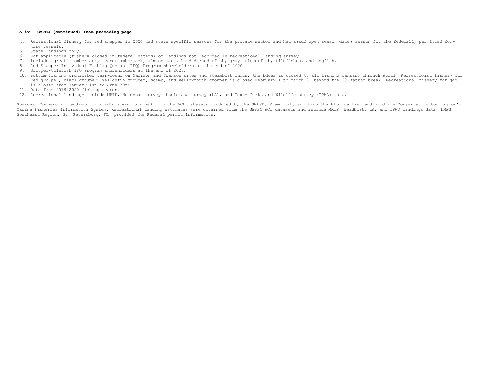#### **A-iv - GMFMC (continued) from preceding page:**

- 4. Recreational fishery for red snapper in 2020 had state specific seasons for the private sector and had a(add open season date) season for the federally permitted forhire vessels.
- 5. State landings only.
- 6. Not applicable (fishery closed in federal waters) or landings not recorded in recreational landing survey.
- 7. Includes greater amberjack, lesser amberjack, almaco jack, banded rudderfish, gray triggerfish, tilefishes, and hogfish.
- 8. Red Snapper Individual Fishing Quotas (IFQ) Program shareholders at the end of 2020.
- 9. Grouper-tilefish IFQ Program shareholders at the end of 2020.
- 10. Bottom fishing prohibited year-round on Madison and Swanson sites and Steamboat Lumps; the Edges is closed to all fishing January through April. Recreationa l fishery for red grouper, black grouper, yellowfin grouper, scamp, and yellowmouth grouper is closed February 1 to March 31 beyond the 20 -fathom break. Recreational fishery for gag is closed from January 1st to June 30th.
- 11. Data from 2019-2020 fishing season.
- 12. Recreational landings include MRIP, Headboat survey, Louisiana survey (LA), and Texas Parks and Wildlife survey (TPWD) data.

Sources: Commercial landings information was obtained from the ACL datasets produced by the SEFSC, Miami, FL, and from the Florida Fish and Wildlife Conservation Commission's Marine Fisheries Information System. Recreational landing estimates were obtained from the SEFSC ACL datasets and include MRIP, headboat, LA, and TPWD landings data. NMFS Southeast Region, St. Petersburg, FL, provided the Federal permit information.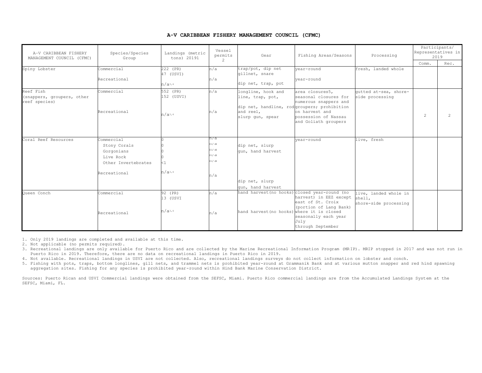#### **A-V CARIBBEAN FISHERY MANAGEMENT COUNCIL (CFMC)**

| A-V CARIBBEAN FISHERY<br>MANAGEMENT COUNCIL (CFMC)       | Species/Species<br>Group                                                                     | Landings (metric<br>tons) 20191       | Vessel<br>permits<br>2                 | Gear                                                                                                                   | Fishing Areas/Seasons                                                                                                                            | Processing                                               |   | Participants/<br>Representatives in<br>2019<br>Comm.<br>Rec. |  |
|----------------------------------------------------------|----------------------------------------------------------------------------------------------|---------------------------------------|----------------------------------------|------------------------------------------------------------------------------------------------------------------------|--------------------------------------------------------------------------------------------------------------------------------------------------|----------------------------------------------------------|---|--------------------------------------------------------------|--|
| Spiny Lobster                                            | Commercial<br>Recreational                                                                   | 222 (PR)<br>47 (USVI)<br>n/a3,4       | n/a<br>n/a                             | trap/pot, dip net<br>qillnet, snare<br>dip net, trap, pot                                                              | vear-round<br>vear-round                                                                                                                         | fresh, landed whole                                      |   |                                                              |  |
| Reef Fish<br>(snappers, groupers, other<br>reef species) | Commercial<br>Recreational                                                                   | 552 (PR)<br>152 (USVI)<br>$n/a^{3,4}$ | n/a<br>n/a                             | longline, hook and<br>line, trap, pot,<br>dip net, handline, rodgroupers; prohibition<br>and reel,<br>slurp qun, spear | area closures5,<br>seasonal closures for<br>numerous snappers and<br>on harvest and<br>possession of Nassau<br>and Goliath groupers              | qutted at-sea, shore-<br>side processing                 | 2 | 2                                                            |  |
| Coral Reef Resources                                     | Commercial<br>Stony Corals<br>Gorgonians<br>Live Rock<br>Other Invertebrates<br>Recreational | $n/a^{3,4}$                           | n/a<br>n/a<br>n/a<br>n/a<br>n/a<br>n/a | dip net, slurp<br>gun, hand harvest<br>dip net, slurp<br>qun, hand harvest                                             | year-round                                                                                                                                       | live, fresh                                              |   |                                                              |  |
| Oueen Conch                                              | Commercial<br>Recreational                                                                   | 92 (PR)<br>13 (USVI<br>n/a3,4         | n/a<br>n/a                             | hand harvest (no hooks) closed year-round (no<br>hand harvest (no hooks)                                               | harvest) in EEZ except<br>east of St. Croix<br>(portion of Lang Bank)<br>where it is closed<br>seasonally each year<br>July<br>through September | live, landed whole in<br>shell,<br>shore-side processing |   |                                                              |  |

1. Only 2019 landings are completed and available at this time.

- 2. Not applicable (no permits required).
- 3. Recreational landings are only available for Puerto Rico and are collected by the Marine Recreational Information Program (MR IP). MRIP stopped in 2017 and was not run in Puerto Rico in 2019. Therefore, there are no data on recreational landings in Puerto Rico in 2019.
- 4. Not available. Recreational landings in USVI are not collected. Also, recreational landings surveys do not collect information on lobster and conch.
- 5. Fishing with pots, traps, bottom longlines, gill nets, and trammel nets is prohibited year-round at Grammanik Bank and at various mutton snapper and red hind spawning aggregation sites. Fishing for any species is prohibited year-round within Hind Bank Marine Conservation District.

Sources: Puerto Rican and USVI Commercial landings were obtained from the SEFSC, Miami. Puerto Rico commercial landings are from the Accumulated Landings System at the SEFSC, Miami, FL.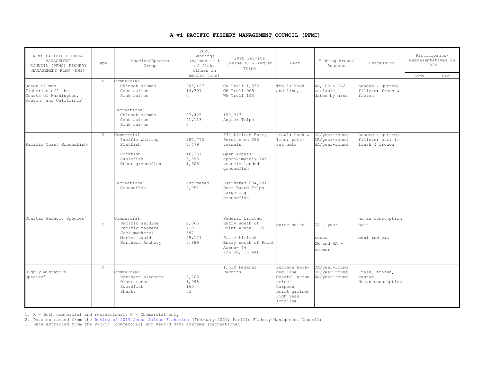#### **A-vi PACIFIC FISHERY MANAGEMENT COUNCIL (PFMC)**

| A-vi PACIFIC FISHERY<br>MANAGEMENT<br>Type <sup>1</sup><br>COUNCIL (PFMC) FISHERY<br>MANAGEMENT PLAN (FMP) |               | Species/Species<br>Group                                                                               | 2020<br>Landings<br>(salmon in #<br>of fish,<br>others in | 2020 Permits<br>(Vessels) & Angler<br>Trips                                                                                           | Gear                                                                                                     | Fishing Areas/<br>Seasons                       | Processing                                             | Participants/<br>Representatives in<br>2020 |      |
|------------------------------------------------------------------------------------------------------------|---------------|--------------------------------------------------------------------------------------------------------|-----------------------------------------------------------|---------------------------------------------------------------------------------------------------------------------------------------|----------------------------------------------------------------------------------------------------------|-------------------------------------------------|--------------------------------------------------------|---------------------------------------------|------|
| Ocean Salmon<br>Fisheries off the<br>Coasts of Washington,                                                 | X             | Commercial<br>Chinook salmon<br>Coho salmon<br>Pink salmon                                             | metric tons)<br>205,497<br>14,391                         | CA Troll 1,032<br>OR Troll 905<br>WA Troll 153                                                                                        | Troll; hook<br>and line.                                                                                 | WA, OR & CA/<br>variable<br>dates by area       | headed & qutted;<br>fillets; fresh &<br>frozen         | Comm.                                       | Rec. |
| Oregon, and California <sup>2</sup>                                                                        |               | Recreational<br>Chinook salmon<br>Coho salmon<br>Pink salmon                                           | 57,425<br>41,113                                          | 150,317<br>Angler Trips                                                                                                               |                                                                                                          |                                                 |                                                        |                                             |      |
| Pacific Coast Groundfish <sup>3</sup>                                                                      | $\mathbf{X}$  | Commercial<br>Pacific whiting<br>Flatfish<br>Rockfish<br>Sablefish<br>Other groundfish                 | 287.772<br>7,479<br>16,357<br>3,693<br>1,505              | 334 Limited Entry<br>Permits on 255<br>vessels<br>Open Access:<br>approximately 748<br>vessels landed<br>groundfish                   | trawl; hook &<br>line; pots;<br>set nets                                                                 | CA/year-round<br>OR/year-round<br>WA/vear-round | headed & qutted;<br>fillets; surimi;<br>fresh & frozen |                                             |      |
|                                                                                                            |               | Recreational<br>Groundfish                                                                             | Estimated<br>2,051                                        | Estimated 634,791<br>Boat Based Trips<br>targeting<br>groundfish                                                                      |                                                                                                          |                                                 |                                                        |                                             |      |
| Coastal Pelagic Species <sup>3</sup>                                                                       | $\mathcal{C}$ | Commercial<br>Pacific sardine<br>Pacific mackerel<br>Jack mackerel<br>Market squid<br>Northern Anchovy | 2,865<br>710<br>597<br>25,121<br>5,689                    | Federal Limited<br>Entry south of<br>Point Arena $-65$<br>State Limited<br>Entry north of Point<br>Arena- 44<br>$(26 \tOR, 16 \tW A)$ | purse seine                                                                                              | CA - year<br>round<br>OR and WA -<br>summer     | human consumption<br>bait<br>meal and oil              |                                             |      |
| Highly Migratory<br>Species <sup>3</sup>                                                                   | $\mathsf{C}$  | Commercial<br>Northern albacore<br>Other tunas<br>Swordfish<br>Sharks                                  | 6,705<br>1,998<br>160<br>63                               | 1,530 Federal<br>Permits                                                                                                              | Surface hook-<br>and line<br>Coastal purse<br>seine<br>Harpoon<br>Drift gillnet<br>High Seas<br>longline | CA/year-round<br>OR/year-round<br>WA/year-round | Fresh, frozen,<br>canned<br>Human consumption          |                                             |      |

1. X = Both commercial and recreational, C = Commercial only

2. Data extracted from the <u>Review of 2019 Ocean Salmon Fisheries (</u>February 2020; Pacific Fishery Management Council)<br>3. Data extracted from the PacFin (commercial) and RecFIN data systems (recreational)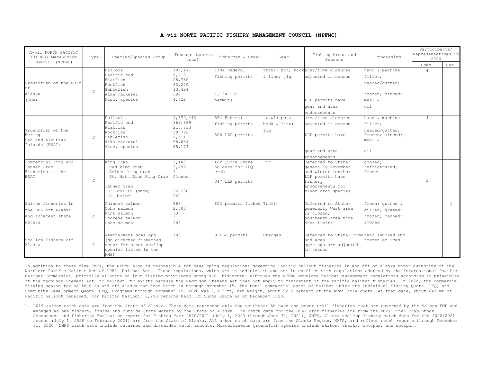| A-vii NORTH PACIFIC<br>FISHERY MANAGEMENT<br>COUNCIL (NPFMC)              | Type          | Species/Species Group                                                                                                     | Tonnage (metric<br>$tons)$ <sup>1</sup>   | Fishermen & Crew <sup>2</sup>                                 | Gear                | Fishing Areas and<br>Seasons                                                                                                             | Processing                                                      | Participants/<br>Representatives in<br>2020<br>Comm. | Rec.           |
|---------------------------------------------------------------------------|---------------|---------------------------------------------------------------------------------------------------------------------------|-------------------------------------------|---------------------------------------------------------------|---------------------|------------------------------------------------------------------------------------------------------------------------------------------|-----------------------------------------------------------------|------------------------------------------------------|----------------|
|                                                                           |               | Pollock                                                                                                                   | 107,471                                   | 1104 Federal                                                  |                     | trawl; pot; hookarea/time closures                                                                                                       | hand & machine                                                  | $\overline{4}$                                       |                |
| Groundfish of the Gulf<br>$\cap$ f                                        |               | Pacific cod<br>Flatfish<br>Rockfish<br>Sablefish                                                                          | 6,713<br>28,760<br>32,270<br>13,424       | Fishing permits                                               | & line; jiq         | adjusted in season                                                                                                                       | fillet;<br>headed/gutted;                                       |                                                      |                |
| Alaska                                                                    | $\mathcal{C}$ | Atka mackerel                                                                                                             | 608                                       | 1,124 LLP                                                     |                     |                                                                                                                                          | frozen; minced;                                                 |                                                      |                |
| (GOA)                                                                     |               | Misc. species                                                                                                             | 4,822                                     | permits                                                       |                     | LLP permits have                                                                                                                         | meal &                                                          |                                                      |                |
|                                                                           |               |                                                                                                                           |                                           |                                                               |                     | gear and area                                                                                                                            | $\circ i1$                                                      |                                                      |                |
|                                                                           |               |                                                                                                                           |                                           |                                                               |                     | endorsements                                                                                                                             |                                                                 |                                                      |                |
|                                                                           |               | Pollock                                                                                                                   | ., 370, 443                               | 554 Federal                                                   | trawl; pot;         | area/time closures                                                                                                                       | hand & machine                                                  | $\Delta$                                             |                |
| Groundfish of the                                                         |               | Pacific cod<br>Flatfish<br>Rockfish                                                                                       | 169,889<br>213,833<br>50,762              | fishing permits                                               | hook & line:<br>jiq | adjusted in season                                                                                                                       | fillet;<br>headed/qutted;                                       |                                                      |                |
| Bering<br>Sea and Aleutian<br>Islands (BSAI)                              | $\mathbb{C}$  | Sablefish<br>Atka mackerel<br>Misc. species                                                                               | 6,511<br>58,884<br>25,174                 | 506 LLP permits                                               |                     | LLP permits have                                                                                                                         | frozen: minced:<br>meal &                                       |                                                      |                |
|                                                                           |               |                                                                                                                           |                                           |                                                               |                     | gear and area<br>endorsements                                                                                                            | 0i1                                                             |                                                      |                |
| Commercial King and<br>Tanner Crab<br>Fisheries in the<br><b>BSAT</b>     | $\mathbb{C}$  | King Crab<br>Red king crab<br>Golden king crab<br>St. Matt.Blue King Crab<br>Tanner Crab<br>C. opilio (snow)<br>C. bairdi | 2,180<br>3,496<br>Closed<br>26,200<br>960 | 462 Ouota Share<br>holders for IFO<br>crab<br>347 LLP permits | Pot                 | Deferred to State:<br>generally November<br>and winter months:<br>LLP permits have<br>fishery<br>endorsements for<br>minor crab species. | cooked:<br>refrigerated;<br>frozen                              | 3                                                    |                |
| Salmon fisheries in<br>the EEZ off Alaska<br>and adjacent state<br>waters | $\mathcal{C}$ | Chinook salmon<br>Coho salmon<br>Pink salmon<br>Sockeye salmon<br>Chum salmon                                             | 883<br>2,000<br>73<br>283                 | 852 permits fished Troll <sup>3</sup>                         |                     | Deferred to State;<br>generally West area<br>is closed:<br>southeast area time<br>area limits.                                           | fresh; qutted &<br>gilled; glazed;<br>frozen; canned;<br>smoked |                                                      | $\overline{1}$ |
| Scallop Fishery off<br>Alaska                                             | $\mathbb{C}$  | Weathervane scallops<br>(No directed fisheries<br>occur for other scallop<br>species listed in the<br>FMP)                | 103                                       | 9 LLP permits                                                 | Dredges             | Deferred to State: Timehand shucked and<br>and area<br>openings are adjusted<br>in season                                                | frozen or iced                                                  |                                                      |                |

#### **A-vii NORTH PACIFIC FISHERY MANAGEMENT COUNCIL (NPFMC)**

In addition to these five FMPs, the NPFMC also is responsible for developing regulations governing Pacific halibut fisheries in and off of Alaska under authority of the Northern Pacific Halibut Act of 1982 (Halibut Act). These regulations, which are in addition to and not in conflict with regulations adopted by the International Pacific Halibut Commission, primarily allocate halibut fishing privileges among U.S. fishermen. Although the NPFMC develops halibut management regulations according to principles of the Magnuson-Stevens Act, no halibut FMP exists because the Magnuson-Stevens Act does not apply to management of the Pacific halibut fisheries. In 2020, the commercial fishing season for halibut in and off Alaska ran from March 14 through November 15. The total commercial catch of halibut und er the Individual Fishing Quota (IFQ) and Community Development Quota (CDQ) Programs through November 15, 2020 was 7,927 mt, net weight, about 92.5 percent of the avai lable quota. At that date, about 647 mt of Pacific halibut remained. For Pacific halibut, 2,293 persons held IFQ Quota Share as of December 2020.

1. 2019 salmon catch data are from the State of Alaska. These data represent only the southeast AK hand and power troll fisheries that are governed by the Salmon FMP and managed as one fishery, inside and outside State waters by the State of Alaska. The catch data for the BSAI crab fisheries are from the 2021 Final Crab Stock Assessment and Fisheries Evaluation report for Fishing Year 2020/2021 (July 1, 2020 through June 30, 2021), NMFS. Alaska scal lop fishery catch data for the 2020/2021 season (July 1, 2020 to February 2021) are from the State of Alaska. All other catch data are from the Alaska Region, NMFS, and reflect catch reports through December 31, 2020. NMFS catch data include retained and discarded catch amounts. Miscellaneous groundfish species include skates, sharks, octopus, and sculpin.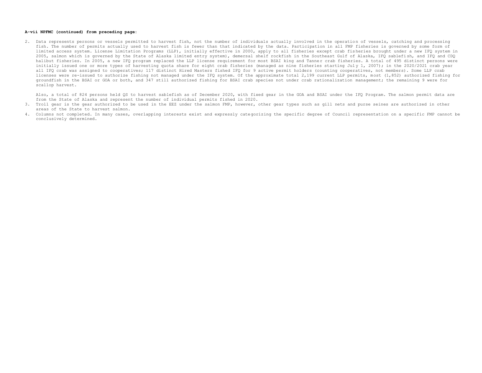#### **A-vii NPFMC (continued) from preceding page:**

2. Data represents persons or vessels permitted to harvest fish, not the number of individuals actually involved in the operation of vessels, catching and processing fish. The number of permits actually used to harvest fish is fewer than that indicated by the data. Participation in all FMP fisheries is governed by some form of limited access system. License Limitation Programs (LLP), initially effective in 2000, apply to all fisheries except crab fis heries brought under a new IFQ system in 2005, salmon which is governed by the State of Alaska limited entry system), demersal shelf rockfish in the Southeast Gulf of Alaska, IFQ sablefi sh, and IFQ and CDQ halibut fisheries. In 2005, a new IFO program replaced the LLP license requirement for most BSAI king and Tanner crab fisheries. A total of 495 distinct persons were initially issued one or more types of harvesting quota share for eight crab fisheries (managed as nine fisheries starting July 1, 2007); in the 2020/2021 crab year all IFQ crab was assigned to cooperatives; 117 distinct Hired Masters fished IFQ for 9 active permit holders (counting cooperatives, not members). Some LLP crab licenses were re-issued to authorize fishing not managed under the IFQ system. Of the approximate total 2,199 current LLP permits, most (1,852) authorized fishing for groundfish in the BSAI or GOA or both, and 347 still authorized fishing for BSAI crab species not under crab rationalization management; the remaining 9 were for scallop harvest.

Also, a total of 824 persons held QS to harvest sablefish as of December 2020, with fixed gear in the GOA and BSAI under the IFQ Program. The salmon permit data are from the State of Alaska and represent the number of individual permits fished in 2020.

- 3. Troll gear is the gear authorized to be used in the EEZ under the salmon FMP, however, other gear types such as gill nets and purse seines are authorized in other areas of the State to harvest salmon.
- 4. Columns not completed. In many cases, overlapping interests exist and expressly categorizing the specific degree of Council representation on a specific FMP cannot be conclusively determined.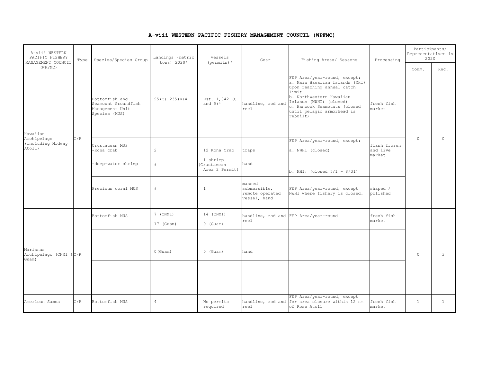**A-viii WESTERN PACIFIC FISHERY MANAGEMENT COUNCIL (WPFMC)**

| A-viii WESTERN<br>PACIFIC FISHERY<br>MANAGEMENT COUNCIL<br>(WPFMC) | Type | Species/Species Group                                                     | Landings (metric<br>tons) 2020 <sup>1</sup> | Vessels<br>(permits) $^2$                                | Gear                                                      | Fishing Areas/ Seasons                                                                                                                                                                                                                 | Processing                         | Participants/<br>Representatives in<br>2020<br>Comm. |              |
|--------------------------------------------------------------------|------|---------------------------------------------------------------------------|---------------------------------------------|----------------------------------------------------------|-----------------------------------------------------------|----------------------------------------------------------------------------------------------------------------------------------------------------------------------------------------------------------------------------------------|------------------------------------|------------------------------------------------------|--------------|
| Hawaiian<br>Archipelago<br>(including Midway<br>Atoll)             |      | Bottomfish and<br>Seamount Groundfish<br>Management Unit<br>Species (MUS) | 95 (C) 235 (R) 4                            | Est. 1,042 (C)<br>and $R$ ) <sup>3</sup>                 | handline, rod and<br>reel                                 | FEP Area/year-round, except:<br>a. Main Hawaiian Islands (MHI)<br>upon reaching annual catch<br>limit<br>b. Northwestern Hawaiian<br>Islands (NWHI) (closed)<br>c. Hancock Seamounts (closed<br>until pelagic armorhead is<br>rebuilt) | fresh fish<br>market               |                                                      | Rec.         |
|                                                                    | C/R  | Crustacean MUS<br>-Kona crab<br>-deep-water shrimp                        | $\overline{c}$<br>#                         | 12 Kona Crab<br>1 shrimp<br>Crustacean<br>Area 2 Permit) | traps<br>hand                                             | FEP Area/year-round, except:<br>a. NWHI (closed)<br>b. MHI: (closed $5/1 - 8/31$ )                                                                                                                                                     | flash frozen<br>and live<br>market | $\circ$                                              | $\circ$      |
|                                                                    |      | Precious coral MUS                                                        | #                                           | $\overline{1}$                                           | manned<br>submersible,<br>remote operated<br>vessel, hand | FEP Area/year-round, except<br>NWHI where fishery is closed.                                                                                                                                                                           | shaped /<br>polished               |                                                      |              |
|                                                                    |      | Bottomfish MUS                                                            | 7 (CNMI)<br>17 (Guam)                       | 14 (CNMI)<br>$0$ (Guam)                                  | reel                                                      | handline, rod and FEP Area/year-round                                                                                                                                                                                                  | fresh fish<br>market               |                                                      |              |
| Marianas<br>Archipelago (CNMI & C/R<br>Guam)                       |      |                                                                           | $0$ (Guam)                                  | $0$ (Guam)                                               | hand                                                      |                                                                                                                                                                                                                                        |                                    | $\circ$                                              | 3            |
|                                                                    |      |                                                                           |                                             |                                                          |                                                           |                                                                                                                                                                                                                                        |                                    |                                                      |              |
| American Samoa                                                     | C/R  | Bottomfish MUS                                                            | $\overline{4}$                              | No permits<br>required                                   | reel                                                      | FEP Area/year-round, except<br>handline, rod and for area closure within 12 nm<br>of Rose Atoll                                                                                                                                        | fresh fish<br>market               | $\mathbf{1}$                                         | $\mathbf{1}$ |